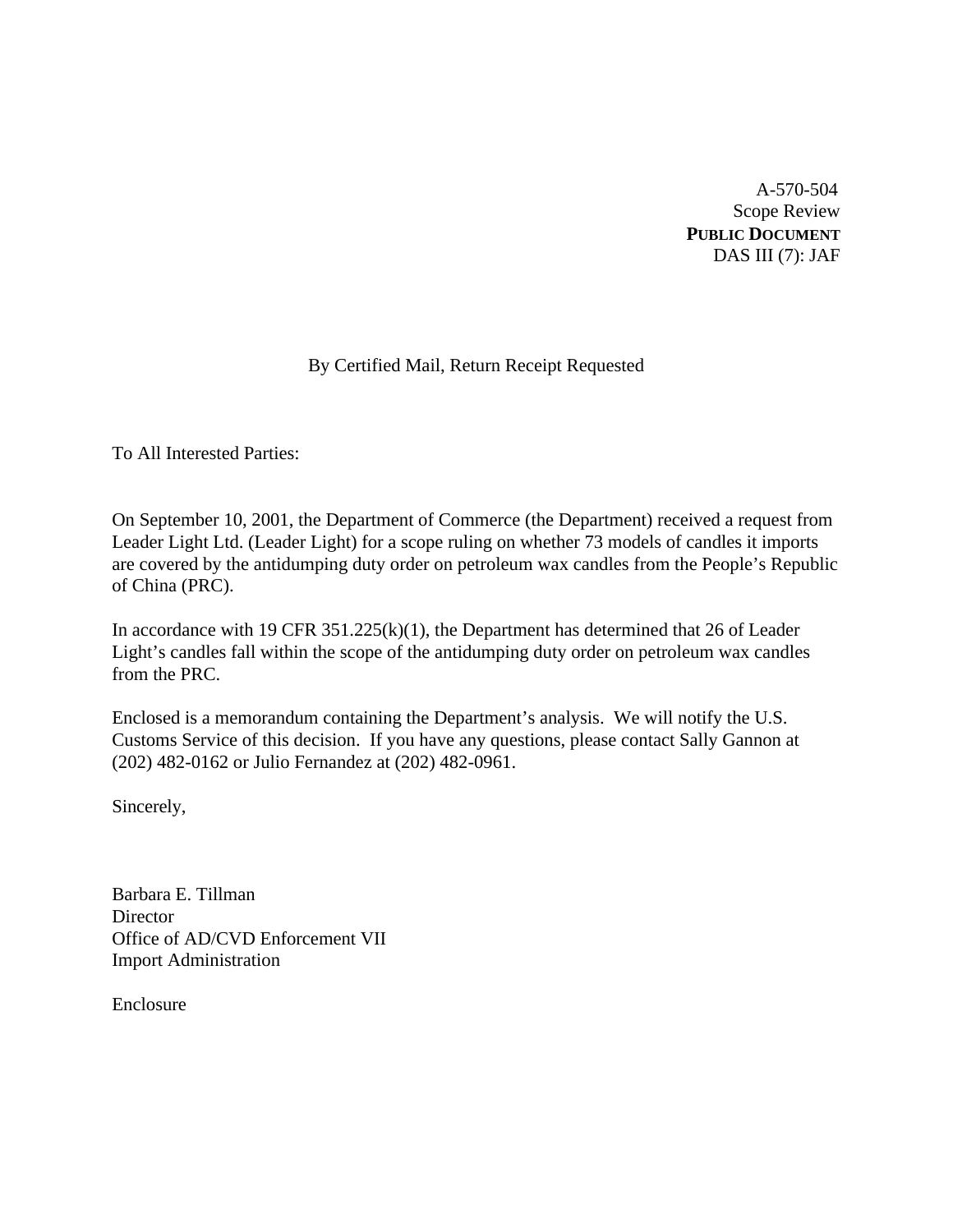A-570-504 Scope Review **PUBLIC DOCUMENT** DAS III (7): JAF

### By Certified Mail, Return Receipt Requested

To All Interested Parties:

On September 10, 2001, the Department of Commerce (the Department) received a request from Leader Light Ltd. (Leader Light) for a scope ruling on whether 73 models of candles it imports are covered by the antidumping duty order on petroleum wax candles from the People's Republic of China (PRC).

In accordance with 19 CFR  $351.225(k)(1)$ , the Department has determined that 26 of Leader Light's candles fall within the scope of the antidumping duty order on petroleum wax candles from the PRC.

Enclosed is a memorandum containing the Department's analysis. We will notify the U.S. Customs Service of this decision. If you have any questions, please contact Sally Gannon at (202) 482-0162 or Julio Fernandez at (202) 482-0961.

Sincerely,

Barbara E. Tillman **Director** Office of AD/CVD Enforcement VII Import Administration

Enclosure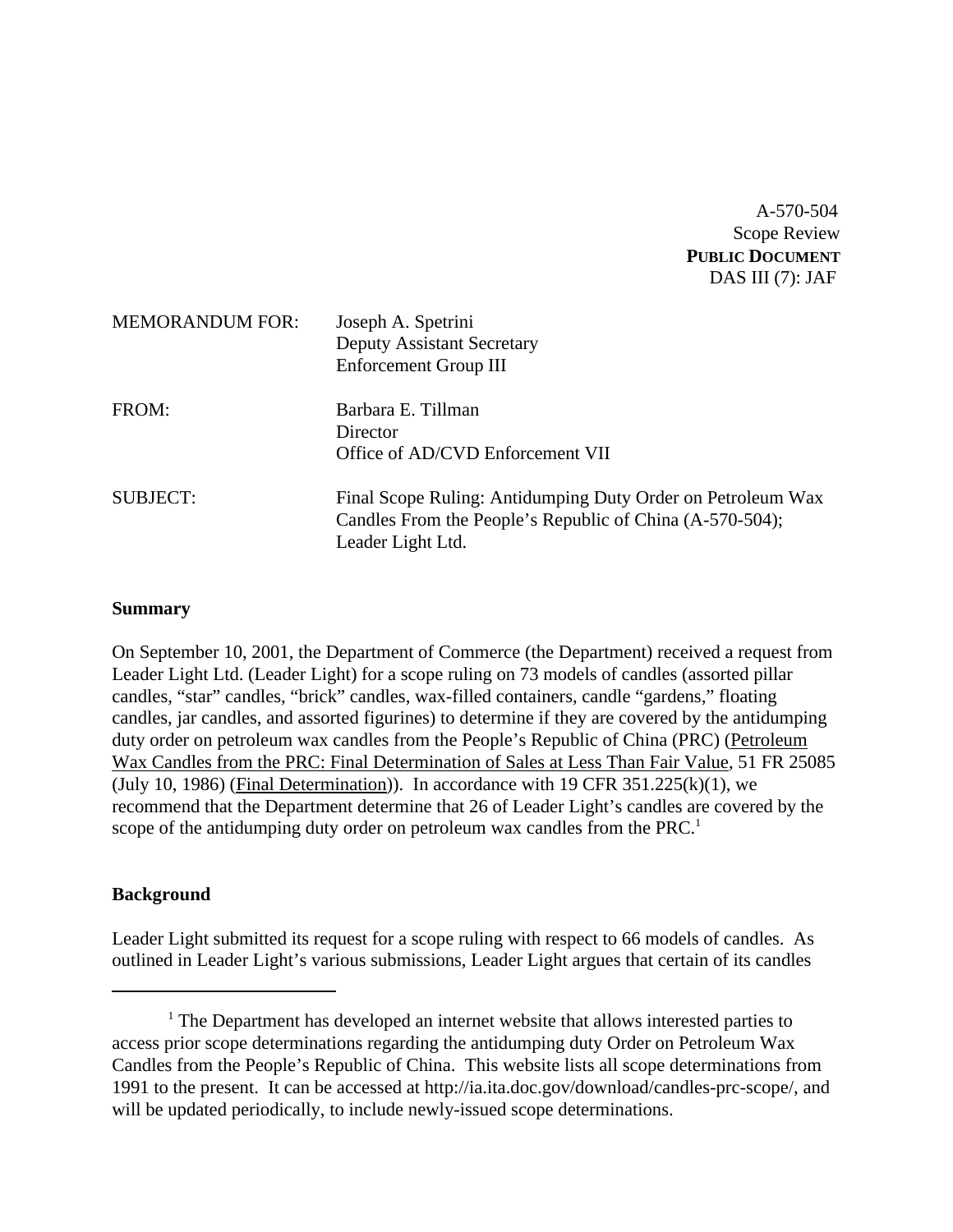### A-570-504 Scope Review **PUBLIC DOCUMENT** DAS III (7): JAF

| <b>MEMORANDUM FOR:</b> | Joseph A. Spetrini<br><b>Deputy Assistant Secretary</b><br><b>Enforcement Group III</b>                                                      |
|------------------------|----------------------------------------------------------------------------------------------------------------------------------------------|
| FROM:                  | Barbara E. Tillman<br>Director<br>Office of AD/CVD Enforcement VII                                                                           |
| <b>SUBJECT:</b>        | Final Scope Ruling: Antidumping Duty Order on Petroleum Wax<br>Candles From the People's Republic of China (A-570-504);<br>Leader Light Ltd. |

#### **Summary**

On September 10, 2001, the Department of Commerce (the Department) received a request from Leader Light Ltd. (Leader Light) for a scope ruling on 73 models of candles (assorted pillar candles, "star" candles, "brick" candles, wax-filled containers, candle "gardens," floating candles, jar candles, and assorted figurines) to determine if they are covered by the antidumping duty order on petroleum wax candles from the People's Republic of China (PRC) (Petroleum Wax Candles from the PRC: Final Determination of Sales at Less Than Fair Value, 51 FR 25085 (July 10, 1986) (Final Determination)). In accordance with  $19$  CFR  $351.225(k)(1)$ , we recommend that the Department determine that 26 of Leader Light's candles are covered by the scope of the antidumping duty order on petroleum wax candles from the PRC.<sup>1</sup>

### **Background**

Leader Light submitted its request for a scope ruling with respect to 66 models of candles. As outlined in Leader Light's various submissions, Leader Light argues that certain of its candles

<sup>&</sup>lt;sup>1</sup> The Department has developed an internet website that allows interested parties to access prior scope determinations regarding the antidumping duty Order on Petroleum Wax Candles from the People's Republic of China. This website lists all scope determinations from 1991 to the present. It can be accessed at http://ia.ita.doc.gov/download/candles-prc-scope/, and will be updated periodically, to include newly-issued scope determinations.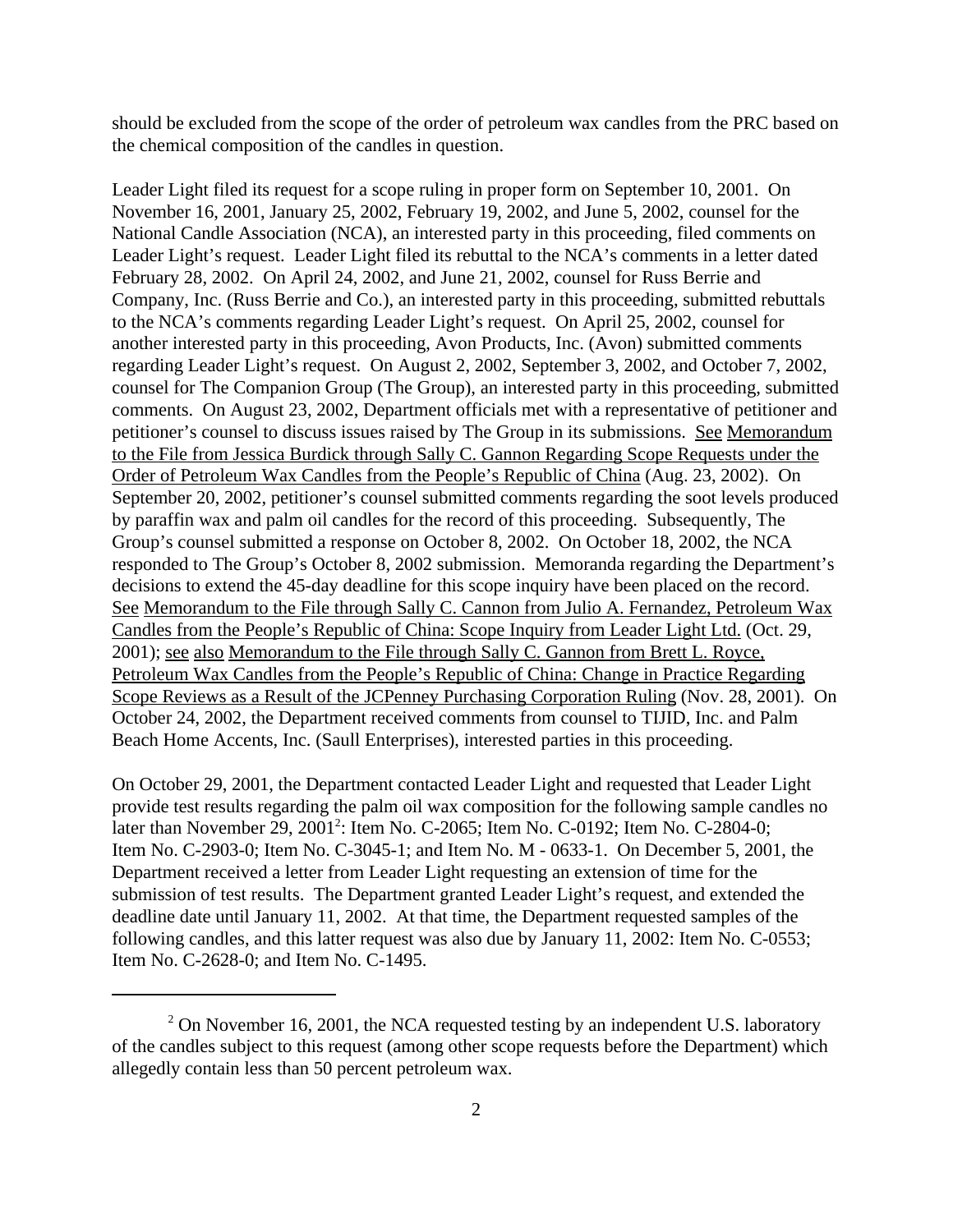should be excluded from the scope of the order of petroleum wax candles from the PRC based on the chemical composition of the candles in question.

Leader Light filed its request for a scope ruling in proper form on September 10, 2001. On November 16, 2001, January 25, 2002, February 19, 2002, and June 5, 2002, counsel for the National Candle Association (NCA), an interested party in this proceeding, filed comments on Leader Light's request. Leader Light filed its rebuttal to the NCA's comments in a letter dated February 28, 2002. On April 24, 2002, and June 21, 2002, counsel for Russ Berrie and Company, Inc. (Russ Berrie and Co.), an interested party in this proceeding, submitted rebuttals to the NCA's comments regarding Leader Light's request. On April 25, 2002, counsel for another interested party in this proceeding, Avon Products, Inc. (Avon) submitted comments regarding Leader Light's request. On August 2, 2002, September 3, 2002, and October 7, 2002, counsel for The Companion Group (The Group), an interested party in this proceeding, submitted comments. On August 23, 2002, Department officials met with a representative of petitioner and petitioner's counsel to discuss issues raised by The Group in its submissions. See Memorandum to the File from Jessica Burdick through Sally C. Gannon Regarding Scope Requests under the Order of Petroleum Wax Candles from the People's Republic of China (Aug. 23, 2002). On September 20, 2002, petitioner's counsel submitted comments regarding the soot levels produced by paraffin wax and palm oil candles for the record of this proceeding. Subsequently, The Group's counsel submitted a response on October 8, 2002. On October 18, 2002, the NCA responded to The Group's October 8, 2002 submission. Memoranda regarding the Department's decisions to extend the 45-day deadline for this scope inquiry have been placed on the record. See Memorandum to the File through Sally C. Cannon from Julio A. Fernandez, Petroleum Wax Candles from the People's Republic of China: Scope Inquiry from Leader Light Ltd. (Oct. 29, 2001); see also Memorandum to the File through Sally C. Gannon from Brett L. Royce, Petroleum Wax Candles from the People's Republic of China: Change in Practice Regarding Scope Reviews as a Result of the JCPenney Purchasing Corporation Ruling (Nov. 28, 2001). On October 24, 2002, the Department received comments from counsel to TIJID, Inc. and Palm Beach Home Accents, Inc. (Saull Enterprises), interested parties in this proceeding.

On October 29, 2001, the Department contacted Leader Light and requested that Leader Light provide test results regarding the palm oil wax composition for the following sample candles no later than November 29, 2001<sup>2</sup>: Item No. C-2065; Item No. C-0192; Item No. C-2804-0; Item No. C-2903-0; Item No. C-3045-1; and Item No. M - 0633-1. On December 5, 2001, the Department received a letter from Leader Light requesting an extension of time for the submission of test results. The Department granted Leader Light's request, and extended the deadline date until January 11, 2002. At that time, the Department requested samples of the following candles, and this latter request was also due by January 11, 2002: Item No. C-0553; Item No. C-2628-0; and Item No. C-1495.

 $2$  On November 16, 2001, the NCA requested testing by an independent U.S. laboratory of the candles subject to this request (among other scope requests before the Department) which allegedly contain less than 50 percent petroleum wax.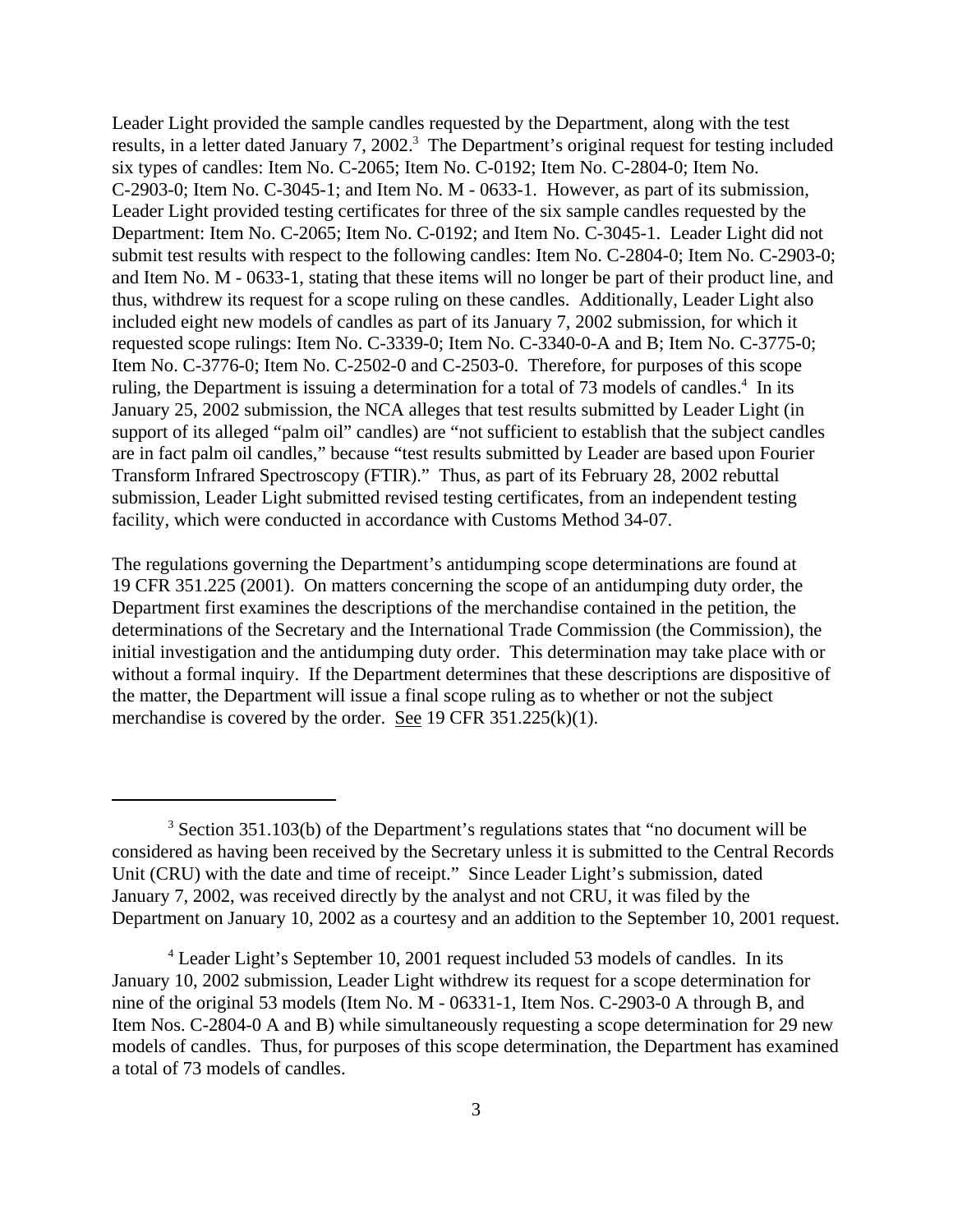Leader Light provided the sample candles requested by the Department, along with the test results, in a letter dated January 7, 2002.<sup>3</sup> The Department's original request for testing included six types of candles: Item No. C-2065; Item No. C-0192; Item No. C-2804-0; Item No. C-2903-0; Item No. C-3045-1; and Item No. M - 0633-1. However, as part of its submission, Leader Light provided testing certificates for three of the six sample candles requested by the Department: Item No. C-2065; Item No. C-0192; and Item No. C-3045-1. Leader Light did not submit test results with respect to the following candles: Item No. C-2804-0; Item No. C-2903-0; and Item No. M - 0633-1, stating that these items will no longer be part of their product line, and thus, withdrew its request for a scope ruling on these candles. Additionally, Leader Light also included eight new models of candles as part of its January 7, 2002 submission, for which it requested scope rulings: Item No. C-3339-0; Item No. C-3340-0-A and B; Item No. C-3775-0; Item No. C-3776-0; Item No. C-2502-0 and C-2503-0. Therefore, for purposes of this scope ruling, the Department is issuing a determination for a total of 73 models of candles.<sup>4</sup> In its January 25, 2002 submission, the NCA alleges that test results submitted by Leader Light (in support of its alleged "palm oil" candles) are "not sufficient to establish that the subject candles are in fact palm oil candles," because "test results submitted by Leader are based upon Fourier Transform Infrared Spectroscopy (FTIR)." Thus, as part of its February 28, 2002 rebuttal submission, Leader Light submitted revised testing certificates, from an independent testing facility, which were conducted in accordance with Customs Method 34-07.

The regulations governing the Department's antidumping scope determinations are found at 19 CFR 351.225 (2001). On matters concerning the scope of an antidumping duty order, the Department first examines the descriptions of the merchandise contained in the petition, the determinations of the Secretary and the International Trade Commission (the Commission), the initial investigation and the antidumping duty order. This determination may take place with or without a formal inquiry. If the Department determines that these descriptions are dispositive of the matter, the Department will issue a final scope ruling as to whether or not the subject merchandise is covered by the order. See 19 CFR 351.225(k)(1).

 $3$  Section 351.103(b) of the Department's regulations states that "no document will be considered as having been received by the Secretary unless it is submitted to the Central Records Unit (CRU) with the date and time of receipt." Since Leader Light's submission, dated January 7, 2002, was received directly by the analyst and not CRU, it was filed by the Department on January 10, 2002 as a courtesy and an addition to the September 10, 2001 request.

<sup>&</sup>lt;sup>4</sup> Leader Light's September 10, 2001 request included 53 models of candles. In its January 10, 2002 submission, Leader Light withdrew its request for a scope determination for nine of the original 53 models (Item No. M - 06331-1, Item Nos. C-2903-0 A through B, and Item Nos. C-2804-0 A and B) while simultaneously requesting a scope determination for 29 new models of candles. Thus, for purposes of this scope determination, the Department has examined a total of 73 models of candles.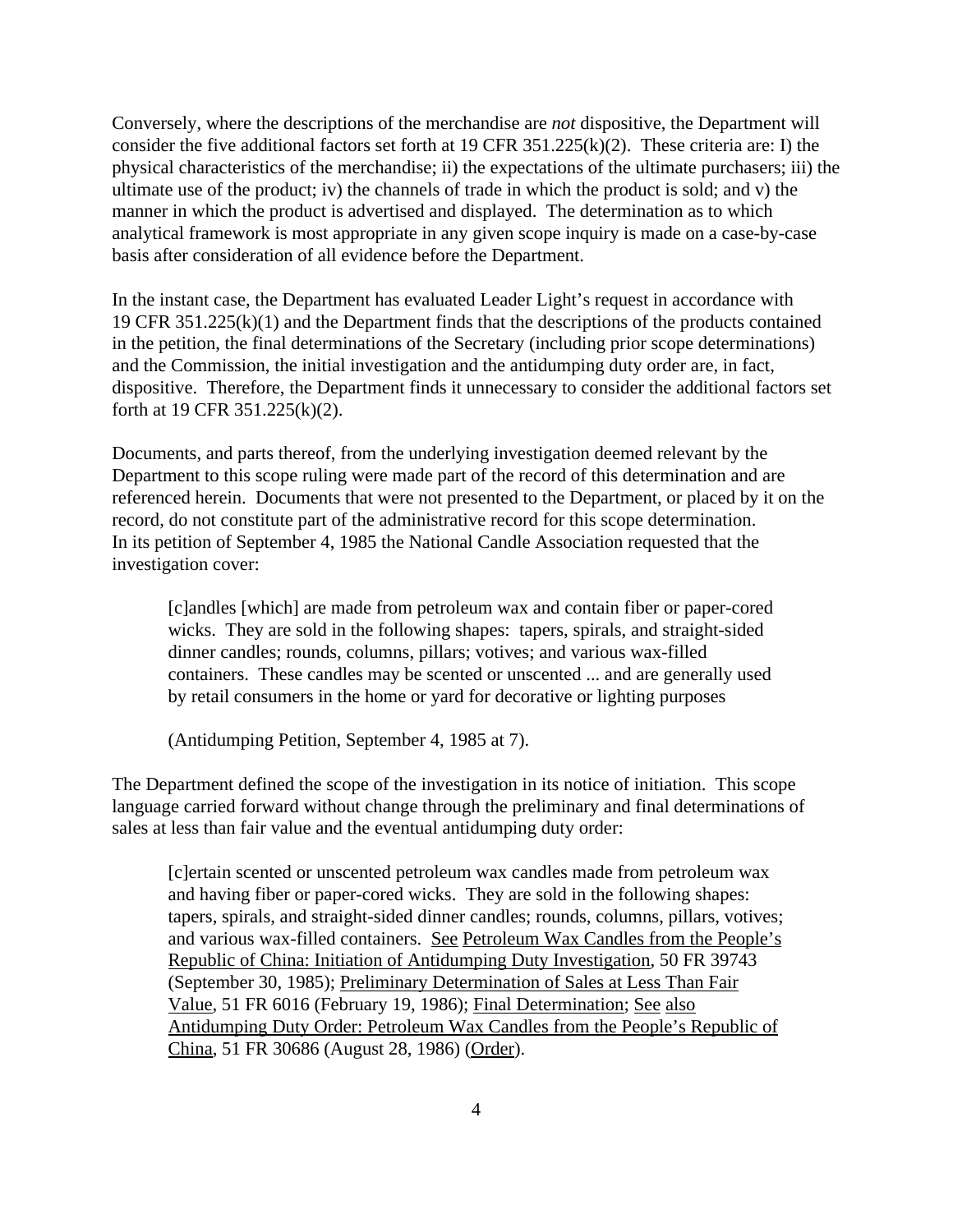Conversely, where the descriptions of the merchandise are *not* dispositive, the Department will consider the five additional factors set forth at 19 CFR 351.225(k)(2). These criteria are: I) the physical characteristics of the merchandise; ii) the expectations of the ultimate purchasers; iii) the ultimate use of the product; iv) the channels of trade in which the product is sold; and v) the manner in which the product is advertised and displayed. The determination as to which analytical framework is most appropriate in any given scope inquiry is made on a case-by-case basis after consideration of all evidence before the Department.

In the instant case, the Department has evaluated Leader Light's request in accordance with 19 CFR 351.225(k)(1) and the Department finds that the descriptions of the products contained in the petition, the final determinations of the Secretary (including prior scope determinations) and the Commission, the initial investigation and the antidumping duty order are, in fact, dispositive. Therefore, the Department finds it unnecessary to consider the additional factors set forth at 19 CFR 351.225(k)(2).

Documents, and parts thereof, from the underlying investigation deemed relevant by the Department to this scope ruling were made part of the record of this determination and are referenced herein. Documents that were not presented to the Department, or placed by it on the record, do not constitute part of the administrative record for this scope determination. In its petition of September 4, 1985 the National Candle Association requested that the investigation cover:

[c]andles [which] are made from petroleum wax and contain fiber or paper-cored wicks. They are sold in the following shapes: tapers, spirals, and straight-sided dinner candles; rounds, columns, pillars; votives; and various wax-filled containers. These candles may be scented or unscented ... and are generally used by retail consumers in the home or yard for decorative or lighting purposes

(Antidumping Petition, September 4, 1985 at 7).

The Department defined the scope of the investigation in its notice of initiation. This scope language carried forward without change through the preliminary and final determinations of sales at less than fair value and the eventual antidumping duty order:

[c]ertain scented or unscented petroleum wax candles made from petroleum wax and having fiber or paper-cored wicks. They are sold in the following shapes: tapers, spirals, and straight-sided dinner candles; rounds, columns, pillars, votives; and various wax-filled containers. See Petroleum Wax Candles from the People's Republic of China: Initiation of Antidumping Duty Investigation, 50 FR 39743 (September 30, 1985); Preliminary Determination of Sales at Less Than Fair Value, 51 FR 6016 (February 19, 1986); Final Determination; See also Antidumping Duty Order: Petroleum Wax Candles from the People's Republic of China, 51 FR 30686 (August 28, 1986) (Order).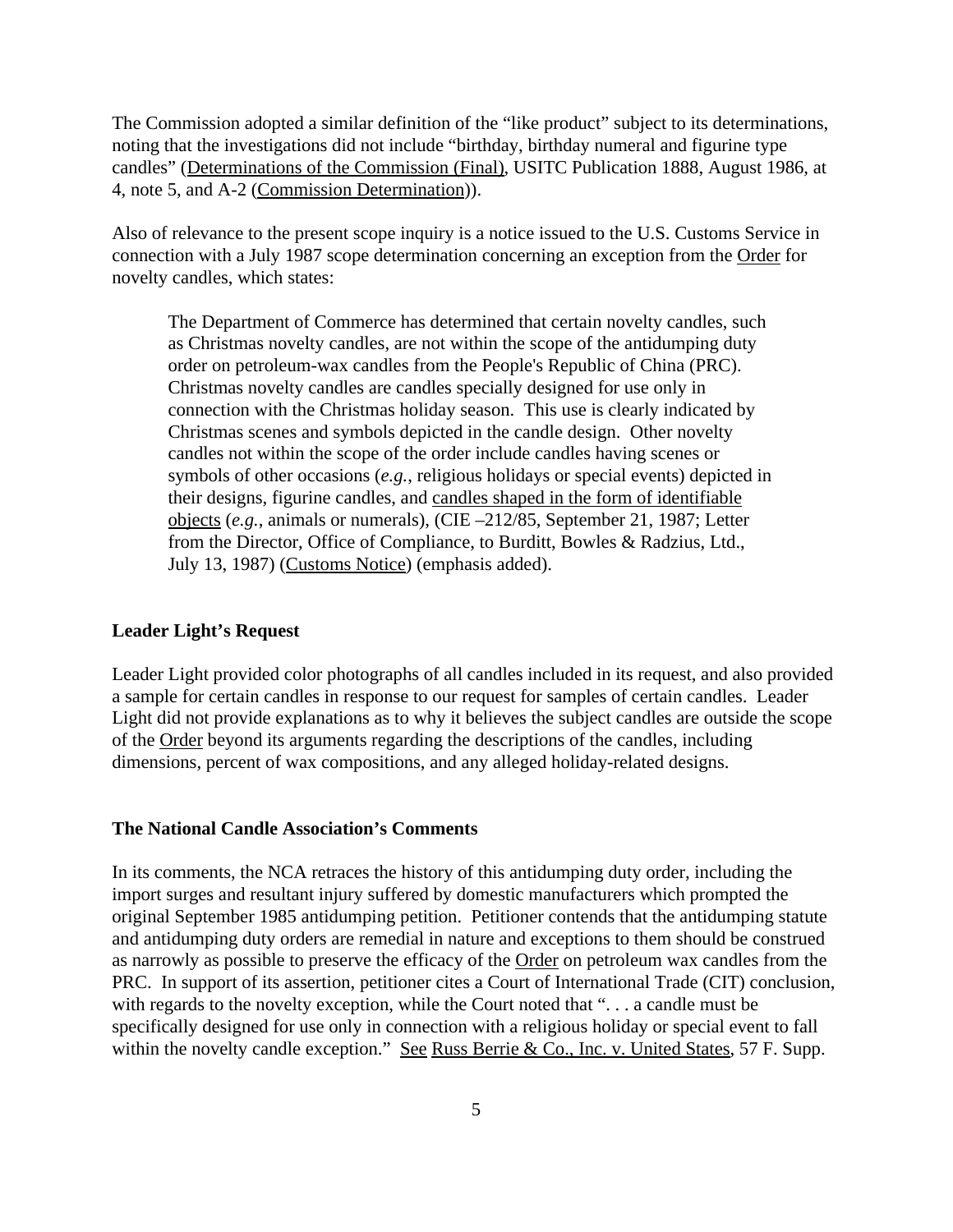The Commission adopted a similar definition of the "like product" subject to its determinations, noting that the investigations did not include "birthday, birthday numeral and figurine type candles" (Determinations of the Commission (Final), USITC Publication 1888, August 1986, at 4, note 5, and A-2 (Commission Determination)).

Also of relevance to the present scope inquiry is a notice issued to the U.S. Customs Service in connection with a July 1987 scope determination concerning an exception from the Order for novelty candles, which states:

The Department of Commerce has determined that certain novelty candles, such as Christmas novelty candles, are not within the scope of the antidumping duty order on petroleum-wax candles from the People's Republic of China (PRC). Christmas novelty candles are candles specially designed for use only in connection with the Christmas holiday season. This use is clearly indicated by Christmas scenes and symbols depicted in the candle design. Other novelty candles not within the scope of the order include candles having scenes or symbols of other occasions (*e.g.*, religious holidays or special events) depicted in their designs, figurine candles, and candles shaped in the form of identifiable objects (*e.g.*, animals or numerals), (CIE –212/85, September 21, 1987; Letter from the Director, Office of Compliance, to Burditt, Bowles & Radzius, Ltd., July 13, 1987) (Customs Notice) (emphasis added).

#### **Leader Light's Request**

Leader Light provided color photographs of all candles included in its request, and also provided a sample for certain candles in response to our request for samples of certain candles. Leader Light did not provide explanations as to why it believes the subject candles are outside the scope of the Order beyond its arguments regarding the descriptions of the candles, including dimensions, percent of wax compositions, and any alleged holiday-related designs.

#### **The National Candle Association's Comments**

In its comments, the NCA retraces the history of this antidumping duty order, including the import surges and resultant injury suffered by domestic manufacturers which prompted the original September 1985 antidumping petition. Petitioner contends that the antidumping statute and antidumping duty orders are remedial in nature and exceptions to them should be construed as narrowly as possible to preserve the efficacy of the Order on petroleum wax candles from the PRC. In support of its assertion, petitioner cites a Court of International Trade (CIT) conclusion, with regards to the novelty exception, while the Court noted that "... a candle must be specifically designed for use only in connection with a religious holiday or special event to fall within the novelty candle exception." See Russ Berrie & Co., Inc. v. United States, 57 F. Supp.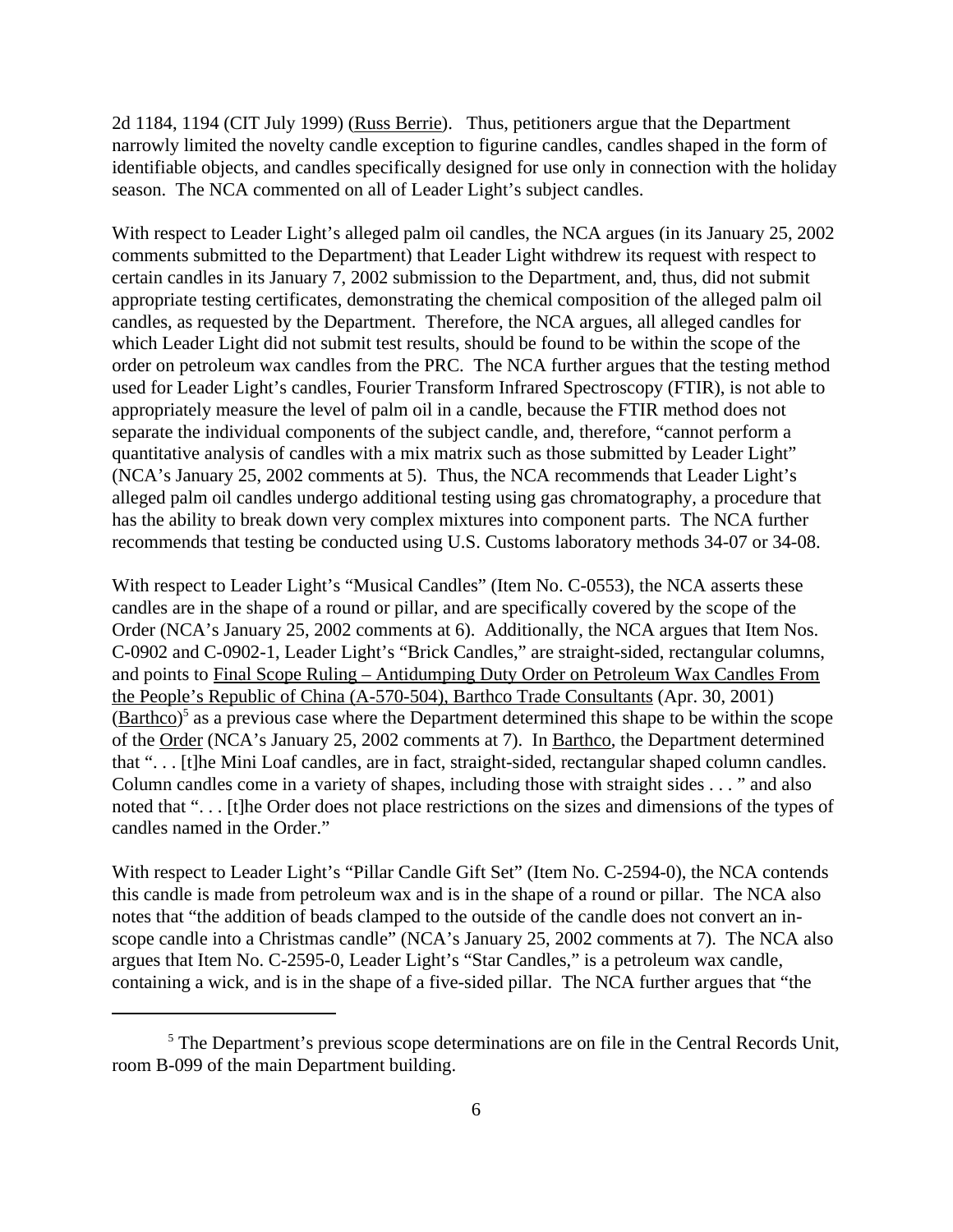2d 1184, 1194 (CIT July 1999) (Russ Berrie). Thus, petitioners argue that the Department narrowly limited the novelty candle exception to figurine candles, candles shaped in the form of identifiable objects, and candles specifically designed for use only in connection with the holiday season. The NCA commented on all of Leader Light's subject candles.

With respect to Leader Light's alleged palm oil candles, the NCA argues (in its January 25, 2002 comments submitted to the Department) that Leader Light withdrew its request with respect to certain candles in its January 7, 2002 submission to the Department, and, thus, did not submit appropriate testing certificates, demonstrating the chemical composition of the alleged palm oil candles, as requested by the Department. Therefore, the NCA argues, all alleged candles for which Leader Light did not submit test results, should be found to be within the scope of the order on petroleum wax candles from the PRC. The NCA further argues that the testing method used for Leader Light's candles, Fourier Transform Infrared Spectroscopy (FTIR), is not able to appropriately measure the level of palm oil in a candle, because the FTIR method does not separate the individual components of the subject candle, and, therefore, "cannot perform a quantitative analysis of candles with a mix matrix such as those submitted by Leader Light" (NCA's January 25, 2002 comments at 5). Thus, the NCA recommends that Leader Light's alleged palm oil candles undergo additional testing using gas chromatography, a procedure that has the ability to break down very complex mixtures into component parts. The NCA further recommends that testing be conducted using U.S. Customs laboratory methods 34-07 or 34-08.

With respect to Leader Light's "Musical Candles" (Item No. C-0553), the NCA asserts these candles are in the shape of a round or pillar, and are specifically covered by the scope of the Order (NCA's January 25, 2002 comments at 6). Additionally, the NCA argues that Item Nos. C-0902 and C-0902-1, Leader Light's "Brick Candles," are straight-sided, rectangular columns, and points to Final Scope Ruling – Antidumping Duty Order on Petroleum Wax Candles From the People's Republic of China (A-570-504), Barthco Trade Consultants (Apr. 30, 2001)  $(Barthco)<sup>5</sup>$  as a previous case where the Department determined this shape to be within the scope of the Order (NCA's January 25, 2002 comments at 7). In Barthco, the Department determined that ". . . [t]he Mini Loaf candles, are in fact, straight-sided, rectangular shaped column candles. Column candles come in a variety of shapes, including those with straight sides . . . " and also noted that ". . . [t]he Order does not place restrictions on the sizes and dimensions of the types of candles named in the Order."

With respect to Leader Light's "Pillar Candle Gift Set" (Item No. C-2594-0), the NCA contends this candle is made from petroleum wax and is in the shape of a round or pillar. The NCA also notes that "the addition of beads clamped to the outside of the candle does not convert an inscope candle into a Christmas candle" (NCA's January 25, 2002 comments at 7). The NCA also argues that Item No. C-2595-0, Leader Light's "Star Candles," is a petroleum wax candle, containing a wick, and is in the shape of a five-sided pillar. The NCA further argues that "the

<sup>&</sup>lt;sup>5</sup> The Department's previous scope determinations are on file in the Central Records Unit, room B-099 of the main Department building.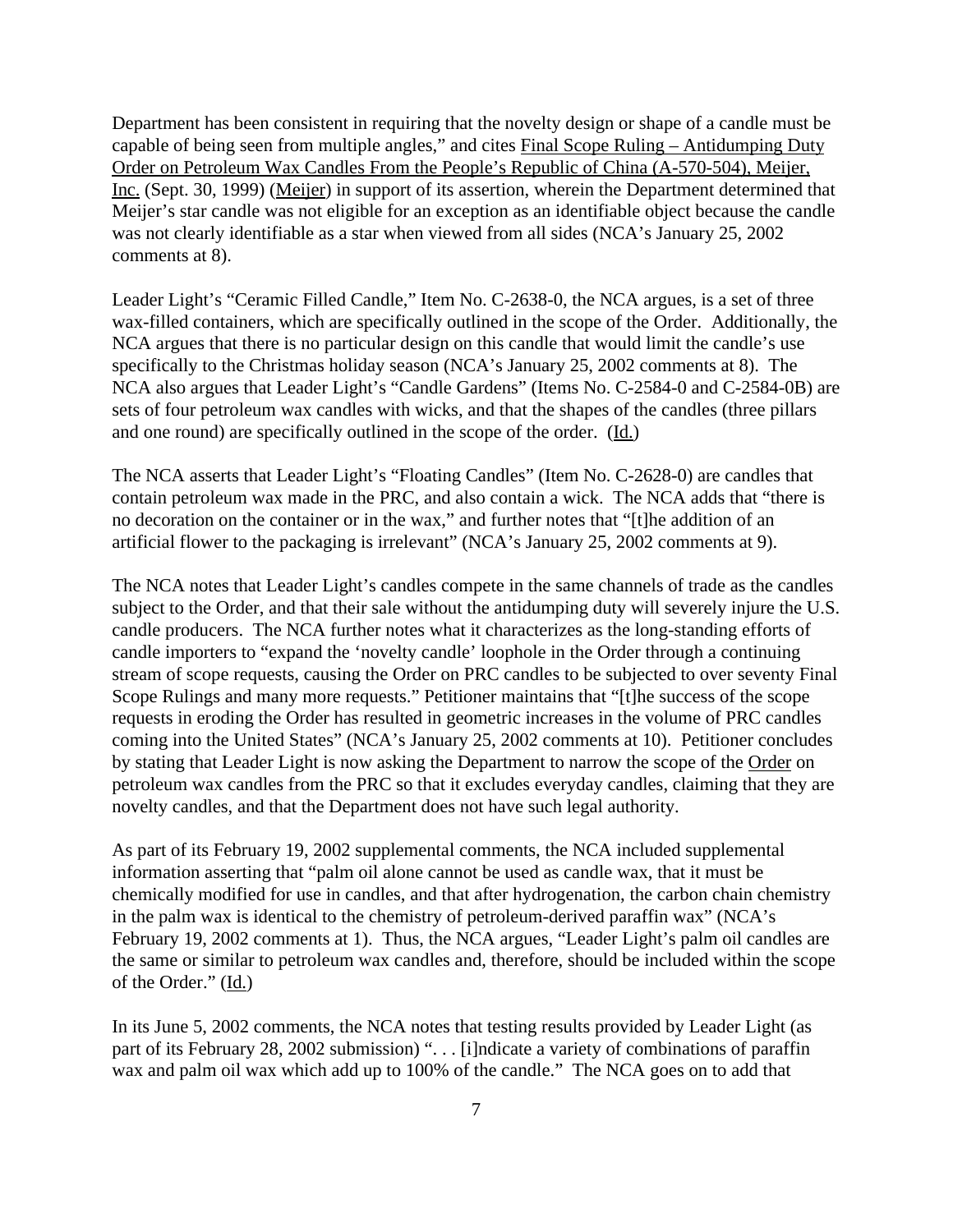Department has been consistent in requiring that the novelty design or shape of a candle must be capable of being seen from multiple angles," and cites Final Scope Ruling – Antidumping Duty Order on Petroleum Wax Candles From the People's Republic of China (A-570-504), Meijer, Inc. (Sept. 30, 1999) (Meijer) in support of its assertion, wherein the Department determined that Meijer's star candle was not eligible for an exception as an identifiable object because the candle was not clearly identifiable as a star when viewed from all sides (NCA's January 25, 2002 comments at 8).

Leader Light's "Ceramic Filled Candle," Item No. C-2638-0, the NCA argues, is a set of three wax-filled containers, which are specifically outlined in the scope of the Order. Additionally, the NCA argues that there is no particular design on this candle that would limit the candle's use specifically to the Christmas holiday season (NCA's January 25, 2002 comments at 8). The NCA also argues that Leader Light's "Candle Gardens" (Items No. C-2584-0 and C-2584-0B) are sets of four petroleum wax candles with wicks, and that the shapes of the candles (three pillars and one round) are specifically outlined in the scope of the order. (Id.)

The NCA asserts that Leader Light's "Floating Candles" (Item No. C-2628-0) are candles that contain petroleum wax made in the PRC, and also contain a wick. The NCA adds that "there is no decoration on the container or in the wax," and further notes that "[t]he addition of an artificial flower to the packaging is irrelevant" (NCA's January 25, 2002 comments at 9).

The NCA notes that Leader Light's candles compete in the same channels of trade as the candles subject to the Order, and that their sale without the antidumping duty will severely injure the U.S. candle producers. The NCA further notes what it characterizes as the long-standing efforts of candle importers to "expand the 'novelty candle' loophole in the Order through a continuing stream of scope requests, causing the Order on PRC candles to be subjected to over seventy Final Scope Rulings and many more requests." Petitioner maintains that "[t]he success of the scope requests in eroding the Order has resulted in geometric increases in the volume of PRC candles coming into the United States" (NCA's January 25, 2002 comments at 10). Petitioner concludes by stating that Leader Light is now asking the Department to narrow the scope of the Order on petroleum wax candles from the PRC so that it excludes everyday candles, claiming that they are novelty candles, and that the Department does not have such legal authority.

As part of its February 19, 2002 supplemental comments, the NCA included supplemental information asserting that "palm oil alone cannot be used as candle wax, that it must be chemically modified for use in candles, and that after hydrogenation, the carbon chain chemistry in the palm wax is identical to the chemistry of petroleum-derived paraffin wax" (NCA's February 19, 2002 comments at 1). Thus, the NCA argues, "Leader Light's palm oil candles are the same or similar to petroleum wax candles and, therefore, should be included within the scope of the Order." (Id.)

In its June 5, 2002 comments, the NCA notes that testing results provided by Leader Light (as part of its February 28, 2002 submission) "... [i]ndicate a variety of combinations of paraffin wax and palm oil wax which add up to 100% of the candle." The NCA goes on to add that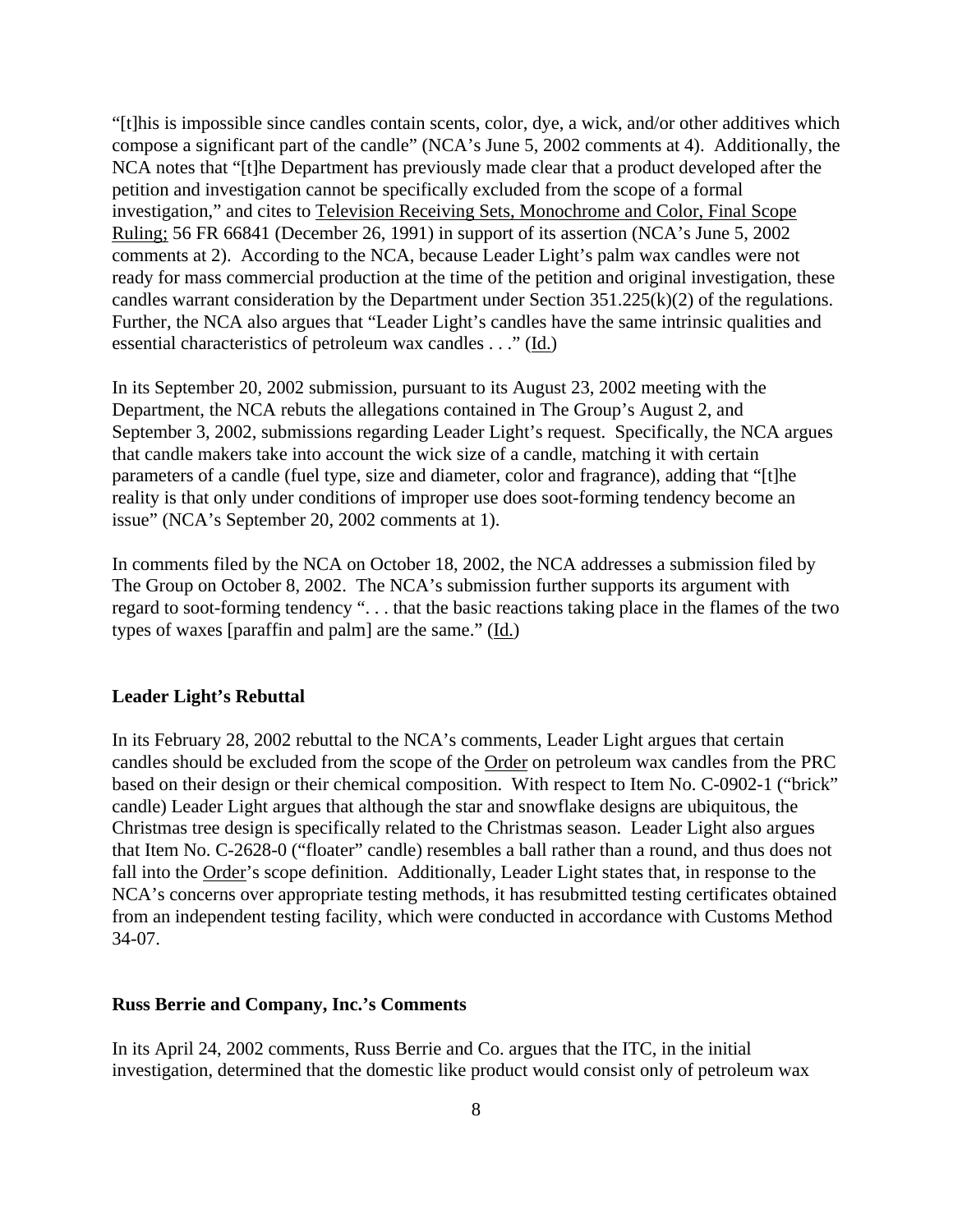"[t]his is impossible since candles contain scents, color, dye, a wick, and/or other additives which compose a significant part of the candle" (NCA's June 5, 2002 comments at 4). Additionally, the NCA notes that "[t]he Department has previously made clear that a product developed after the petition and investigation cannot be specifically excluded from the scope of a formal investigation," and cites to Television Receiving Sets, Monochrome and Color, Final Scope Ruling; 56 FR 66841 (December 26, 1991) in support of its assertion (NCA's June 5, 2002 comments at 2). According to the NCA, because Leader Light's palm wax candles were not ready for mass commercial production at the time of the petition and original investigation, these candles warrant consideration by the Department under Section 351.225(k)(2) of the regulations. Further, the NCA also argues that "Leader Light's candles have the same intrinsic qualities and essential characteristics of petroleum wax candles . . ." (Id.)

In its September 20, 2002 submission, pursuant to its August 23, 2002 meeting with the Department, the NCA rebuts the allegations contained in The Group's August 2, and September 3, 2002, submissions regarding Leader Light's request. Specifically, the NCA argues that candle makers take into account the wick size of a candle, matching it with certain parameters of a candle (fuel type, size and diameter, color and fragrance), adding that "[t]he reality is that only under conditions of improper use does soot-forming tendency become an issue" (NCA's September 20, 2002 comments at 1).

In comments filed by the NCA on October 18, 2002, the NCA addresses a submission filed by The Group on October 8, 2002. The NCA's submission further supports its argument with regard to soot-forming tendency ". . . that the basic reactions taking place in the flames of the two types of waxes [paraffin and palm] are the same." (Id.)

### **Leader Light's Rebuttal**

In its February 28, 2002 rebuttal to the NCA's comments, Leader Light argues that certain candles should be excluded from the scope of the Order on petroleum wax candles from the PRC based on their design or their chemical composition. With respect to Item No. C-0902-1 ("brick" candle) Leader Light argues that although the star and snowflake designs are ubiquitous, the Christmas tree design is specifically related to the Christmas season. Leader Light also argues that Item No. C-2628-0 ("floater" candle) resembles a ball rather than a round, and thus does not fall into the Order's scope definition. Additionally, Leader Light states that, in response to the NCA's concerns over appropriate testing methods, it has resubmitted testing certificates obtained from an independent testing facility, which were conducted in accordance with Customs Method 34-07.

### **Russ Berrie and Company, Inc.'s Comments**

In its April 24, 2002 comments, Russ Berrie and Co. argues that the ITC, in the initial investigation, determined that the domestic like product would consist only of petroleum wax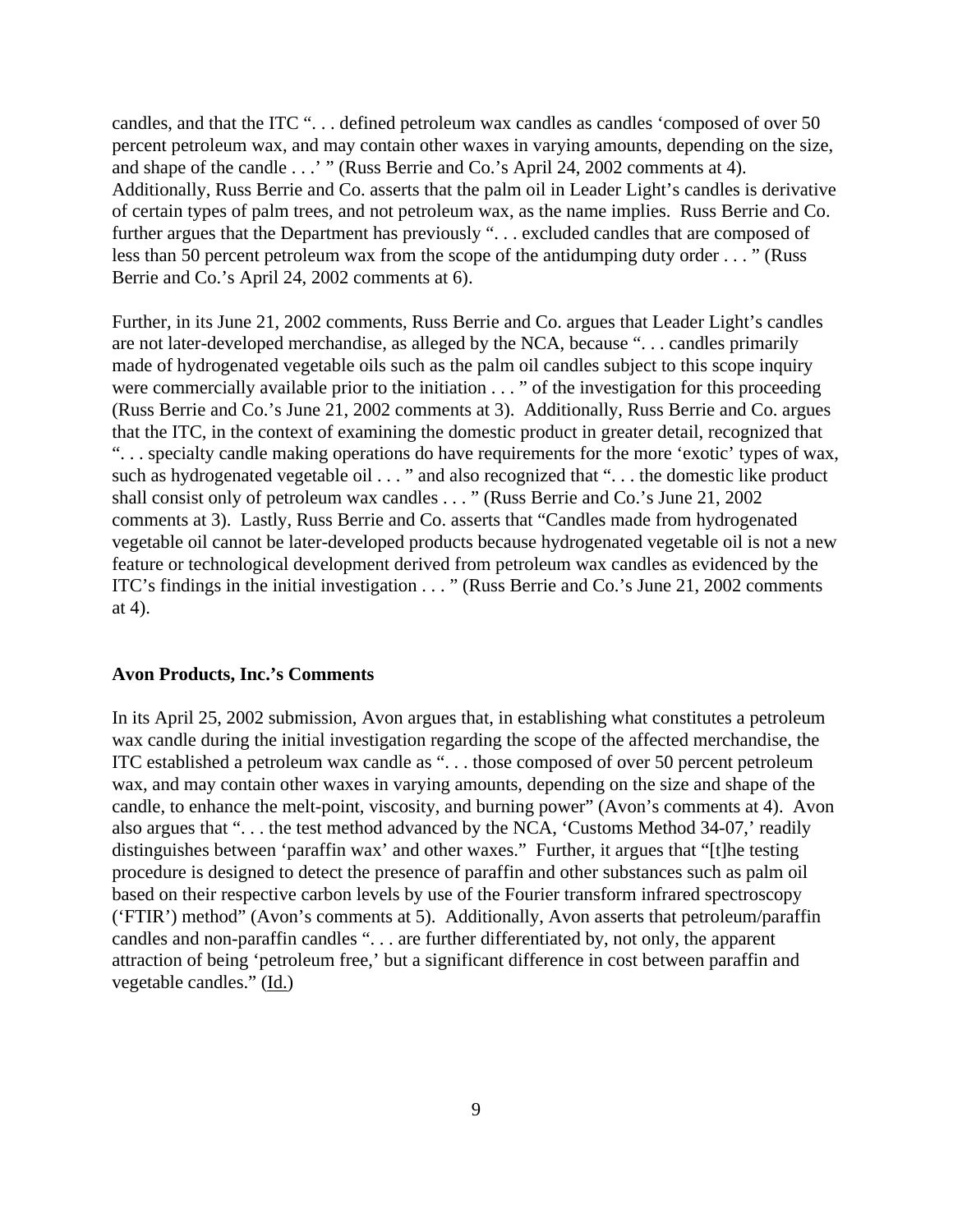candles, and that the ITC "... defined petroleum wax candles as candles 'composed of over 50 percent petroleum wax, and may contain other waxes in varying amounts, depending on the size, and shape of the candle . . .' " (Russ Berrie and Co.'s April 24, 2002 comments at 4). Additionally, Russ Berrie and Co. asserts that the palm oil in Leader Light's candles is derivative of certain types of palm trees, and not petroleum wax, as the name implies. Russ Berrie and Co. further argues that the Department has previously "... excluded candles that are composed of less than 50 percent petroleum wax from the scope of the antidumping duty order . . . " (Russ Berrie and Co.'s April 24, 2002 comments at 6).

Further, in its June 21, 2002 comments, Russ Berrie and Co. argues that Leader Light's candles are not later-developed merchandise, as alleged by the NCA, because ". . . candles primarily made of hydrogenated vegetable oils such as the palm oil candles subject to this scope inquiry were commercially available prior to the initiation . . . " of the investigation for this proceeding (Russ Berrie and Co.'s June 21, 2002 comments at 3). Additionally, Russ Berrie and Co. argues that the ITC, in the context of examining the domestic product in greater detail, recognized that ". . . specialty candle making operations do have requirements for the more 'exotic' types of wax, such as hydrogenated vegetable oil . . . " and also recognized that ". . . the domestic like product shall consist only of petroleum wax candles . . . " (Russ Berrie and Co.'s June 21, 2002 comments at 3). Lastly, Russ Berrie and Co. asserts that "Candles made from hydrogenated vegetable oil cannot be later-developed products because hydrogenated vegetable oil is not a new feature or technological development derived from petroleum wax candles as evidenced by the ITC's findings in the initial investigation . . . " (Russ Berrie and Co.'s June 21, 2002 comments at 4).

#### **Avon Products, Inc.'s Comments**

In its April 25, 2002 submission, Avon argues that, in establishing what constitutes a petroleum wax candle during the initial investigation regarding the scope of the affected merchandise, the ITC established a petroleum wax candle as ". . . those composed of over 50 percent petroleum wax, and may contain other waxes in varying amounts, depending on the size and shape of the candle, to enhance the melt-point, viscosity, and burning power" (Avon's comments at 4). Avon also argues that ". . . the test method advanced by the NCA, 'Customs Method 34-07,' readily distinguishes between 'paraffin wax' and other waxes." Further, it argues that "[t]he testing procedure is designed to detect the presence of paraffin and other substances such as palm oil based on their respective carbon levels by use of the Fourier transform infrared spectroscopy ('FTIR') method" (Avon's comments at 5). Additionally, Avon asserts that petroleum/paraffin candles and non-paraffin candles ". . . are further differentiated by, not only, the apparent attraction of being 'petroleum free,' but a significant difference in cost between paraffin and vegetable candles." (Id.)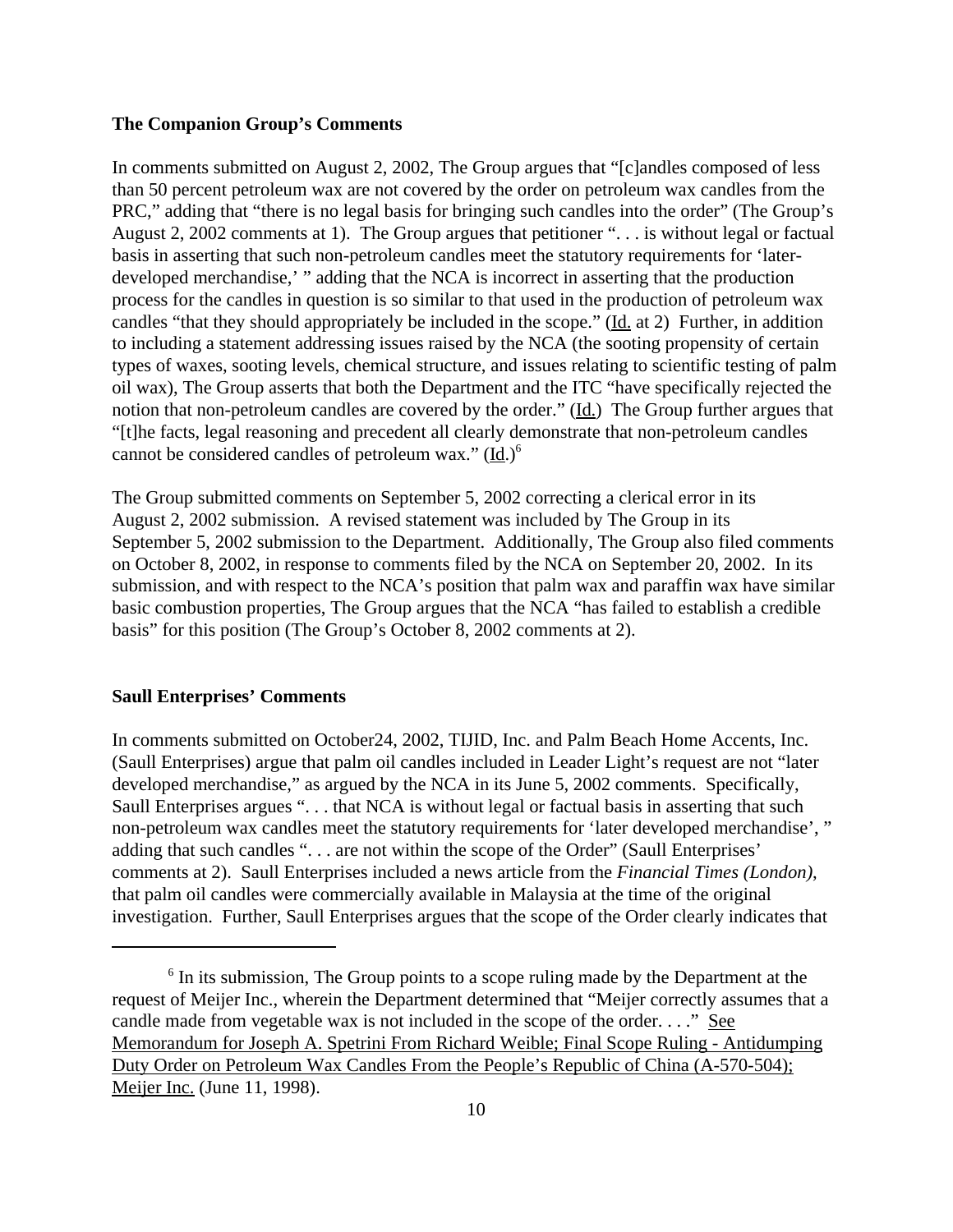### **The Companion Group's Comments**

In comments submitted on August 2, 2002, The Group argues that "[c]andles composed of less than 50 percent petroleum wax are not covered by the order on petroleum wax candles from the PRC," adding that "there is no legal basis for bringing such candles into the order" (The Group's August 2, 2002 comments at 1). The Group argues that petitioner ". . . is without legal or factual basis in asserting that such non-petroleum candles meet the statutory requirements for 'laterdeveloped merchandise,' " adding that the NCA is incorrect in asserting that the production process for the candles in question is so similar to that used in the production of petroleum wax candles "that they should appropriately be included in the scope." (Id. at 2) Further, in addition to including a statement addressing issues raised by the NCA (the sooting propensity of certain types of waxes, sooting levels, chemical structure, and issues relating to scientific testing of palm oil wax), The Group asserts that both the Department and the ITC "have specifically rejected the notion that non-petroleum candles are covered by the order." (Id.) The Group further argues that "[t]he facts, legal reasoning and precedent all clearly demonstrate that non-petroleum candles cannot be considered candles of petroleum wax." (Id.)<sup>6</sup>

The Group submitted comments on September 5, 2002 correcting a clerical error in its August 2, 2002 submission. A revised statement was included by The Group in its September 5, 2002 submission to the Department. Additionally, The Group also filed comments on October 8, 2002, in response to comments filed by the NCA on September 20, 2002. In its submission, and with respect to the NCA's position that palm wax and paraffin wax have similar basic combustion properties, The Group argues that the NCA "has failed to establish a credible basis" for this position (The Group's October 8, 2002 comments at 2).

### **Saull Enterprises' Comments**

In comments submitted on October24, 2002, TIJID, Inc. and Palm Beach Home Accents, Inc. (Saull Enterprises) argue that palm oil candles included in Leader Light's request are not "later developed merchandise," as argued by the NCA in its June 5, 2002 comments. Specifically, Saull Enterprises argues ". . . that NCA is without legal or factual basis in asserting that such non-petroleum wax candles meet the statutory requirements for 'later developed merchandise', " adding that such candles ". . . are not within the scope of the Order" (Saull Enterprises' comments at 2). Saull Enterprises included a news article from the *Financial Times (London)*, that palm oil candles were commercially available in Malaysia at the time of the original investigation. Further, Saull Enterprises argues that the scope of the Order clearly indicates that

<sup>&</sup>lt;sup>6</sup> In its submission, The Group points to a scope ruling made by the Department at the request of Meijer Inc., wherein the Department determined that "Meijer correctly assumes that a candle made from vegetable wax is not included in the scope of the order. . . ." See Memorandum for Joseph A. Spetrini From Richard Weible; Final Scope Ruling - Antidumping Duty Order on Petroleum Wax Candles From the People's Republic of China (A-570-504); Meijer Inc. (June 11, 1998).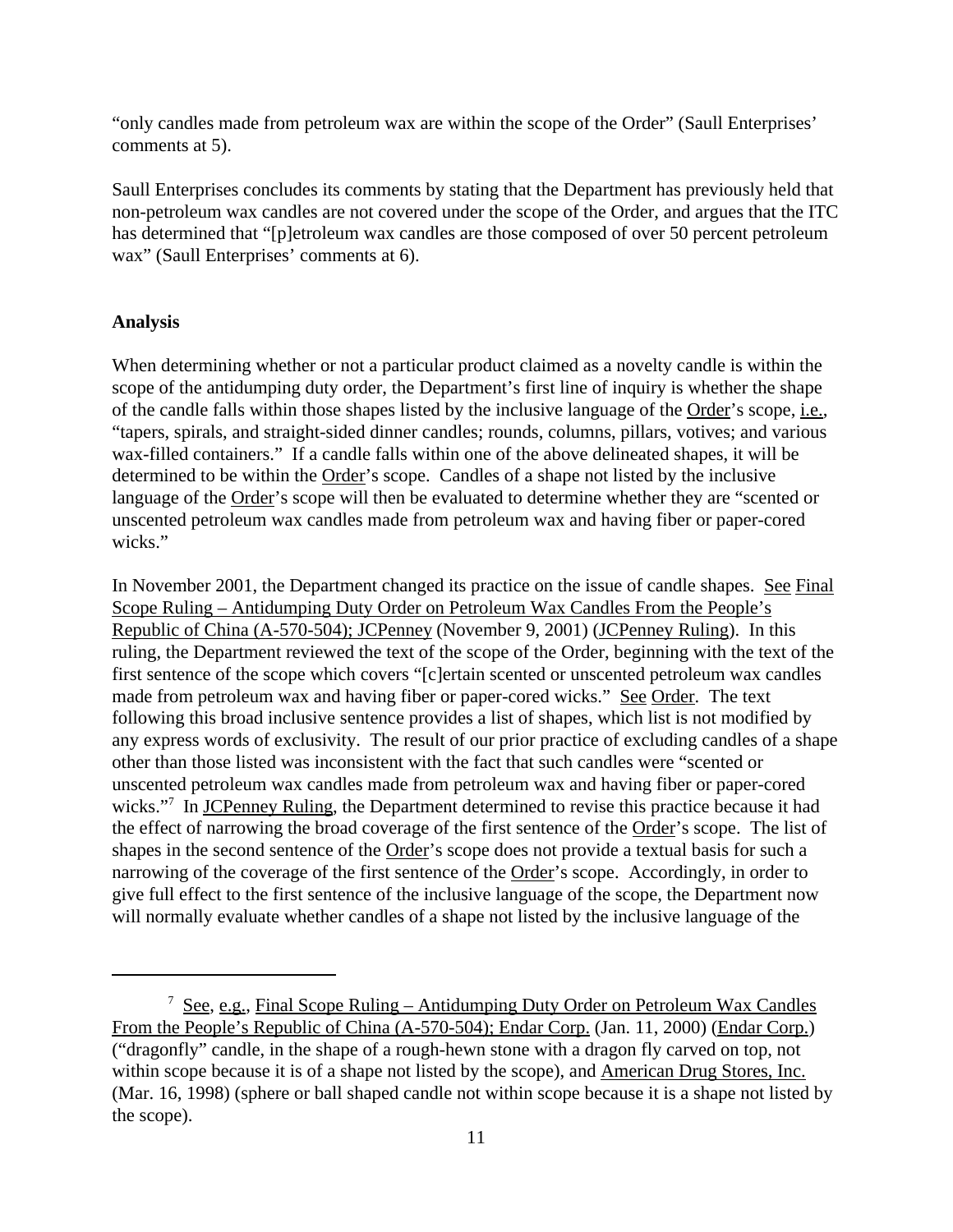"only candles made from petroleum wax are within the scope of the Order" (Saull Enterprises' comments at 5).

Saull Enterprises concludes its comments by stating that the Department has previously held that non-petroleum wax candles are not covered under the scope of the Order, and argues that the ITC has determined that "[p]etroleum wax candles are those composed of over 50 percent petroleum wax" (Saull Enterprises' comments at 6).

## **Analysis**

When determining whether or not a particular product claimed as a novelty candle is within the scope of the antidumping duty order, the Department's first line of inquiry is whether the shape of the candle falls within those shapes listed by the inclusive language of the Order's scope, i.e., "tapers, spirals, and straight-sided dinner candles; rounds, columns, pillars, votives; and various wax-filled containers." If a candle falls within one of the above delineated shapes, it will be determined to be within the Order's scope. Candles of a shape not listed by the inclusive language of the Order's scope will then be evaluated to determine whether they are "scented or unscented petroleum wax candles made from petroleum wax and having fiber or paper-cored wicks."

In November 2001, the Department changed its practice on the issue of candle shapes. See Final Scope Ruling – Antidumping Duty Order on Petroleum Wax Candles From the People's Republic of China (A-570-504); JCPenney (November 9, 2001) (JCPenney Ruling). In this ruling, the Department reviewed the text of the scope of the Order, beginning with the text of the first sentence of the scope which covers "[c]ertain scented or unscented petroleum wax candles made from petroleum wax and having fiber or paper-cored wicks." See Order. The text following this broad inclusive sentence provides a list of shapes, which list is not modified by any express words of exclusivity. The result of our prior practice of excluding candles of a shape other than those listed was inconsistent with the fact that such candles were "scented or unscented petroleum wax candles made from petroleum wax and having fiber or paper-cored wicks."<sup>7</sup> In <u>JCPenney Ruling</u>, the Department determined to revise this practice because it had the effect of narrowing the broad coverage of the first sentence of the Order's scope. The list of shapes in the second sentence of the Order's scope does not provide a textual basis for such a narrowing of the coverage of the first sentence of the Order's scope. Accordingly, in order to give full effect to the first sentence of the inclusive language of the scope, the Department now will normally evaluate whether candles of a shape not listed by the inclusive language of the

<sup>&</sup>lt;sup>7</sup> See, e.g., Final Scope Ruling – Antidumping Duty Order on Petroleum Wax Candles From the People's Republic of China (A-570-504); Endar Corp. (Jan. 11, 2000) (Endar Corp.) ("dragonfly" candle, in the shape of a rough-hewn stone with a dragon fly carved on top, not within scope because it is of a shape not listed by the scope), and American Drug Stores, Inc. (Mar. 16, 1998) (sphere or ball shaped candle not within scope because it is a shape not listed by the scope).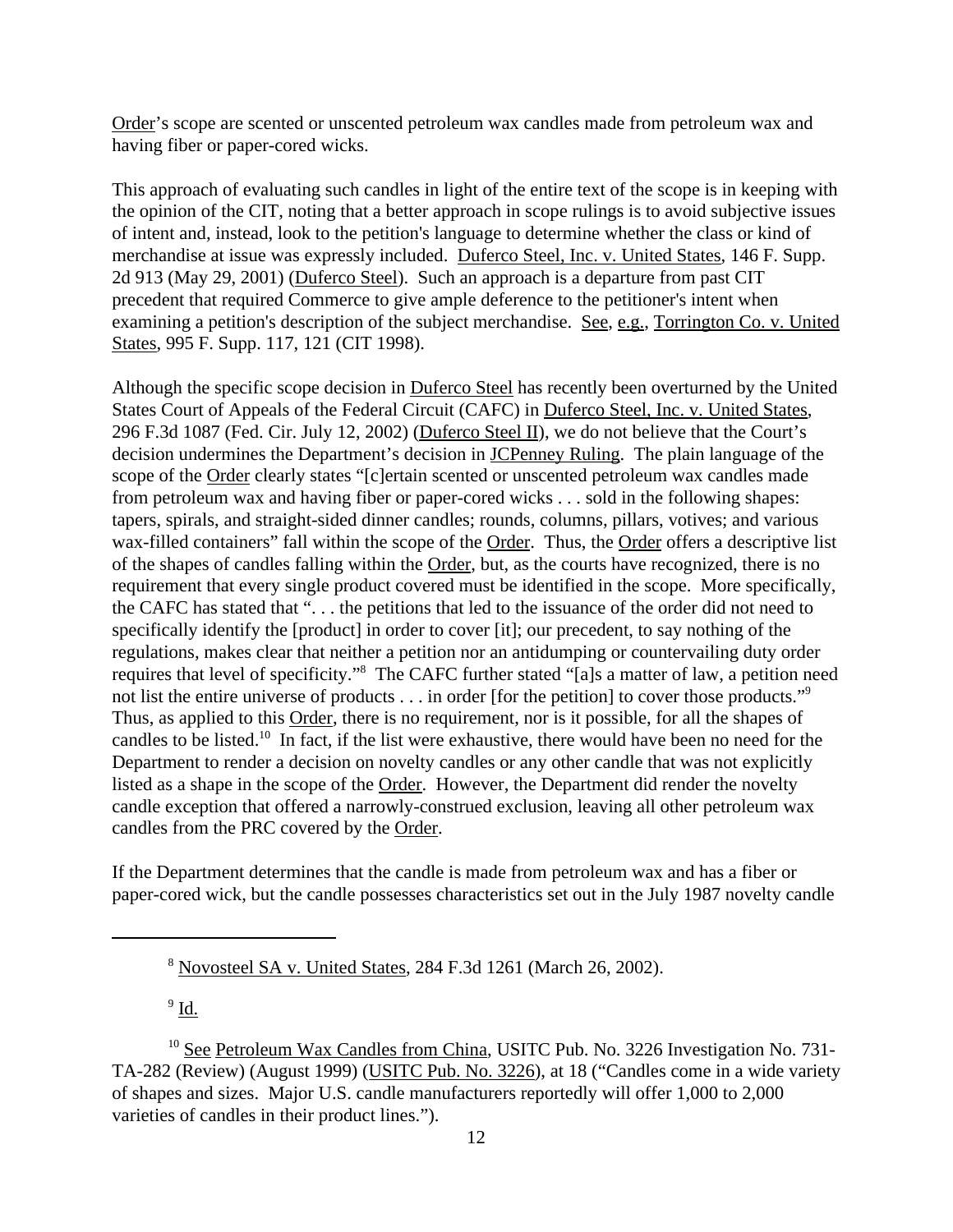Order's scope are scented or unscented petroleum wax candles made from petroleum wax and having fiber or paper-cored wicks.

This approach of evaluating such candles in light of the entire text of the scope is in keeping with the opinion of the CIT, noting that a better approach in scope rulings is to avoid subjective issues of intent and, instead, look to the petition's language to determine whether the class or kind of merchandise at issue was expressly included. Duferco Steel, Inc. v. United States, 146 F. Supp. 2d 913 (May 29, 2001) (Duferco Steel). Such an approach is a departure from past CIT precedent that required Commerce to give ample deference to the petitioner's intent when examining a petition's description of the subject merchandise. See, e.g., Torrington Co. v. United States, 995 F. Supp. 117, 121 (CIT 1998).

Although the specific scope decision in Duferco Steel has recently been overturned by the United States Court of Appeals of the Federal Circuit (CAFC) in Duferco Steel, Inc. v. United States, 296 F.3d 1087 (Fed. Cir. July 12, 2002) (Duferco Steel II), we do not believe that the Court's decision undermines the Department's decision in JCPenney Ruling. The plain language of the scope of the Order clearly states "[c]ertain scented or unscented petroleum wax candles made from petroleum wax and having fiber or paper-cored wicks . . . sold in the following shapes: tapers, spirals, and straight-sided dinner candles; rounds, columns, pillars, votives; and various wax-filled containers" fall within the scope of the Order. Thus, the Order offers a descriptive list of the shapes of candles falling within the Order, but, as the courts have recognized, there is no requirement that every single product covered must be identified in the scope. More specifically, the CAFC has stated that ". . . the petitions that led to the issuance of the order did not need to specifically identify the [product] in order to cover [it]; our precedent, to say nothing of the regulations, makes clear that neither a petition nor an antidumping or countervailing duty order requires that level of specificity."<sup>8</sup> The CAFC further stated "[a]s a matter of law, a petition need not list the entire universe of products . . . in order [for the petition] to cover those products."<sup>9</sup> Thus, as applied to this Order, there is no requirement, nor is it possible, for all the shapes of candles to be listed.<sup>10</sup> In fact, if the list were exhaustive, there would have been no need for the Department to render a decision on novelty candles or any other candle that was not explicitly listed as a shape in the scope of the Order. However, the Department did render the novelty candle exception that offered a narrowly-construed exclusion, leaving all other petroleum wax candles from the PRC covered by the Order.

If the Department determines that the candle is made from petroleum wax and has a fiber or paper-cored wick, but the candle possesses characteristics set out in the July 1987 novelty candle

 $^9$  <u>Id.</u>

<sup>8</sup> Novosteel SA v. United States, 284 F.3d 1261 (March 26, 2002).

<sup>&</sup>lt;sup>10</sup> See Petroleum Wax Candles from China, USITC Pub. No. 3226 Investigation No. 731-TA-282 (Review) (August 1999) (USITC Pub. No. 3226), at 18 ("Candles come in a wide variety of shapes and sizes. Major U.S. candle manufacturers reportedly will offer 1,000 to 2,000 varieties of candles in their product lines.").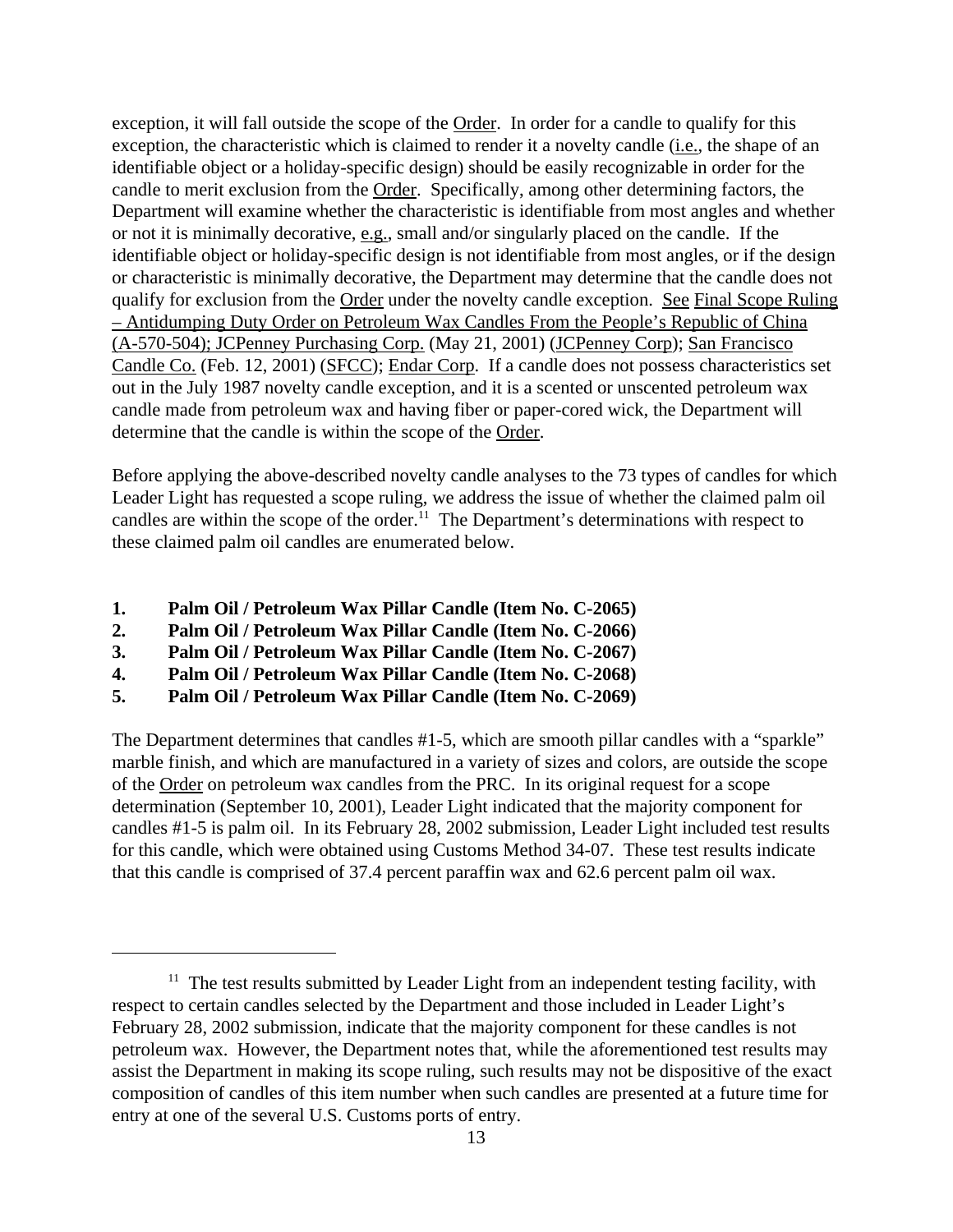exception, it will fall outside the scope of the Order. In order for a candle to qualify for this exception, the characteristic which is claimed to render it a novelty candle (*i.e.*, the shape of an identifiable object or a holiday-specific design) should be easily recognizable in order for the candle to merit exclusion from the Order. Specifically, among other determining factors, the Department will examine whether the characteristic is identifiable from most angles and whether or not it is minimally decorative, e.g., small and/or singularly placed on the candle. If the identifiable object or holiday-specific design is not identifiable from most angles, or if the design or characteristic is minimally decorative, the Department may determine that the candle does not qualify for exclusion from the Order under the novelty candle exception. See Final Scope Ruling – Antidumping Duty Order on Petroleum Wax Candles From the People's Republic of China (A-570-504); JCPenney Purchasing Corp. (May 21, 2001) (JCPenney Corp); San Francisco Candle Co. (Feb. 12, 2001) (SFCC); Endar Corp. If a candle does not possess characteristics set out in the July 1987 novelty candle exception, and it is a scented or unscented petroleum wax candle made from petroleum wax and having fiber or paper-cored wick, the Department will determine that the candle is within the scope of the Order.

Before applying the above-described novelty candle analyses to the 73 types of candles for which Leader Light has requested a scope ruling, we address the issue of whether the claimed palm oil candles are within the scope of the order.<sup>11</sup> The Department's determinations with respect to these claimed palm oil candles are enumerated below.

- **1. Palm Oil / Petroleum Wax Pillar Candle (Item No. C-2065)**
- **2. Palm Oil / Petroleum Wax Pillar Candle (Item No. C-2066)**
- **3. Palm Oil / Petroleum Wax Pillar Candle (Item No. C-2067)**
- **4. Palm Oil / Petroleum Wax Pillar Candle (Item No. C-2068)**
- **5. Palm Oil / Petroleum Wax Pillar Candle (Item No. C-2069)**

The Department determines that candles #1-5, which are smooth pillar candles with a "sparkle" marble finish, and which are manufactured in a variety of sizes and colors, are outside the scope of the Order on petroleum wax candles from the PRC. In its original request for a scope determination (September 10, 2001), Leader Light indicated that the majority component for candles #1-5 is palm oil. In its February 28, 2002 submission, Leader Light included test results for this candle, which were obtained using Customs Method 34-07. These test results indicate that this candle is comprised of 37.4 percent paraffin wax and 62.6 percent palm oil wax.

 $11$  The test results submitted by Leader Light from an independent testing facility, with respect to certain candles selected by the Department and those included in Leader Light's February 28, 2002 submission, indicate that the majority component for these candles is not petroleum wax. However, the Department notes that, while the aforementioned test results may assist the Department in making its scope ruling, such results may not be dispositive of the exact composition of candles of this item number when such candles are presented at a future time for entry at one of the several U.S. Customs ports of entry.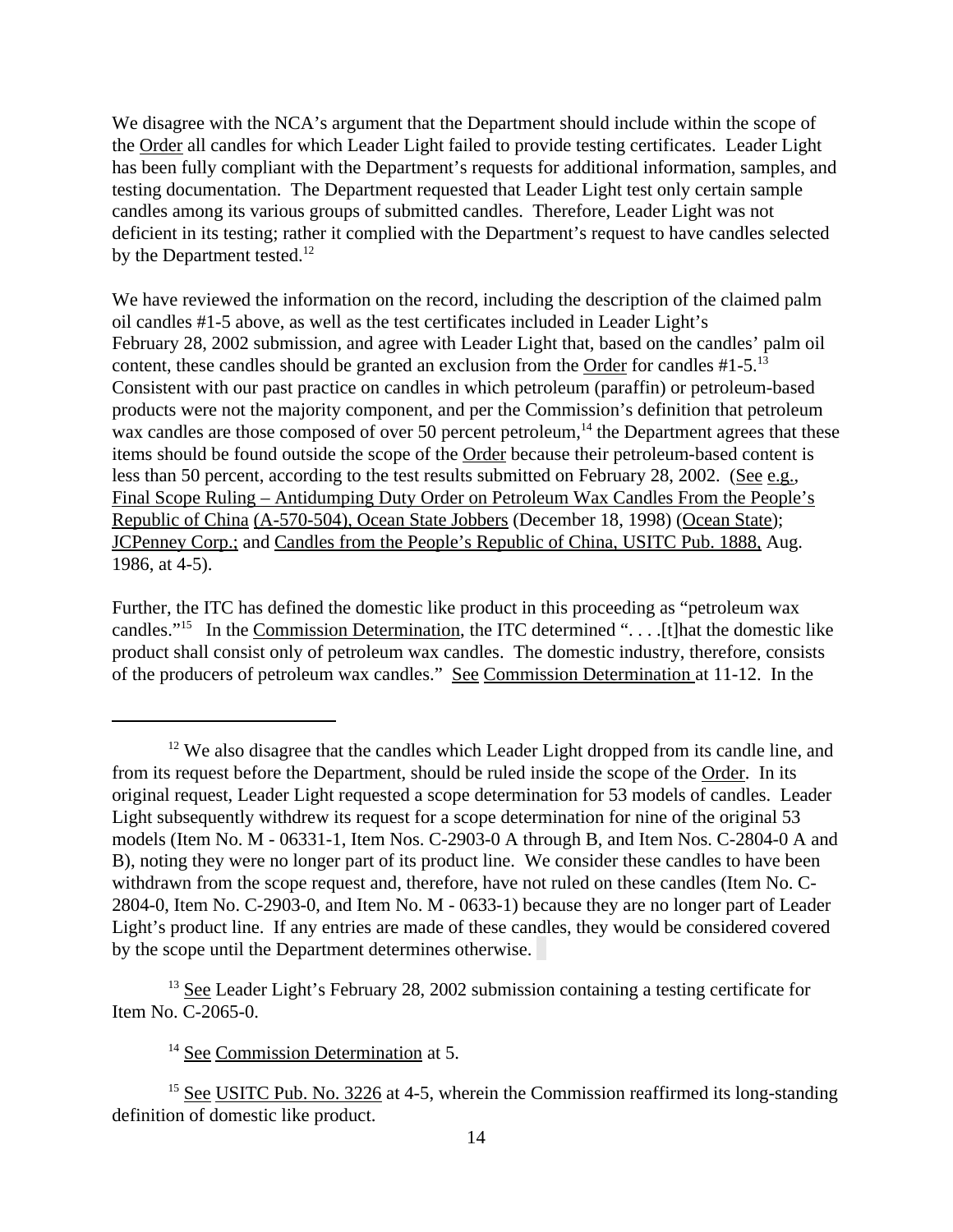We disagree with the NCA's argument that the Department should include within the scope of the Order all candles for which Leader Light failed to provide testing certificates. Leader Light has been fully compliant with the Department's requests for additional information, samples, and testing documentation. The Department requested that Leader Light test only certain sample candles among its various groups of submitted candles. Therefore, Leader Light was not deficient in its testing; rather it complied with the Department's request to have candles selected by the Department tested.<sup>12</sup>

We have reviewed the information on the record, including the description of the claimed palm oil candles #1-5 above, as well as the test certificates included in Leader Light's February 28, 2002 submission, and agree with Leader Light that, based on the candles' palm oil content, these candles should be granted an exclusion from the Order for candles #1-5.<sup>13</sup> Consistent with our past practice on candles in which petroleum (paraffin) or petroleum-based products were not the majority component, and per the Commission's definition that petroleum wax candles are those composed of over 50 percent petroleum,<sup>14</sup> the Department agrees that these items should be found outside the scope of the Order because their petroleum-based content is less than 50 percent, according to the test results submitted on February 28, 2002. (See e.g., Final Scope Ruling – Antidumping Duty Order on Petroleum Wax Candles From the People's Republic of China (A-570-504), Ocean State Jobbers (December 18, 1998) (Ocean State); JCPenney Corp.; and Candles from the People's Republic of China, USITC Pub. 1888, Aug. 1986, at 4-5).

Further, the ITC has defined the domestic like product in this proceeding as "petroleum wax candles."<sup>15</sup> In the Commission Determination, the ITC determined ". . . .[t]hat the domestic like product shall consist only of petroleum wax candles. The domestic industry, therefore, consists of the producers of petroleum wax candles." See Commission Determination at 11-12. In the

<sup>13</sup> See Leader Light's February 28, 2002 submission containing a testing certificate for Item No. C-2065-0.

 $12$  We also disagree that the candles which Leader Light dropped from its candle line, and from its request before the Department, should be ruled inside the scope of the Order. In its original request, Leader Light requested a scope determination for 53 models of candles. Leader Light subsequently withdrew its request for a scope determination for nine of the original 53 models (Item No. M - 06331-1, Item Nos. C-2903-0 A through B, and Item Nos. C-2804-0 A and B), noting they were no longer part of its product line. We consider these candles to have been withdrawn from the scope request and, therefore, have not ruled on these candles (Item No. C-2804-0, Item No. C-2903-0, and Item No. M - 0633-1) because they are no longer part of Leader Light's product line. If any entries are made of these candles, they would be considered covered by the scope until the Department determines otherwise.

<sup>&</sup>lt;sup>14</sup> See Commission Determination at 5.

<sup>&</sup>lt;sup>15</sup> See USITC Pub. No. 3226 at 4-5, wherein the Commission reaffirmed its long-standing definition of domestic like product.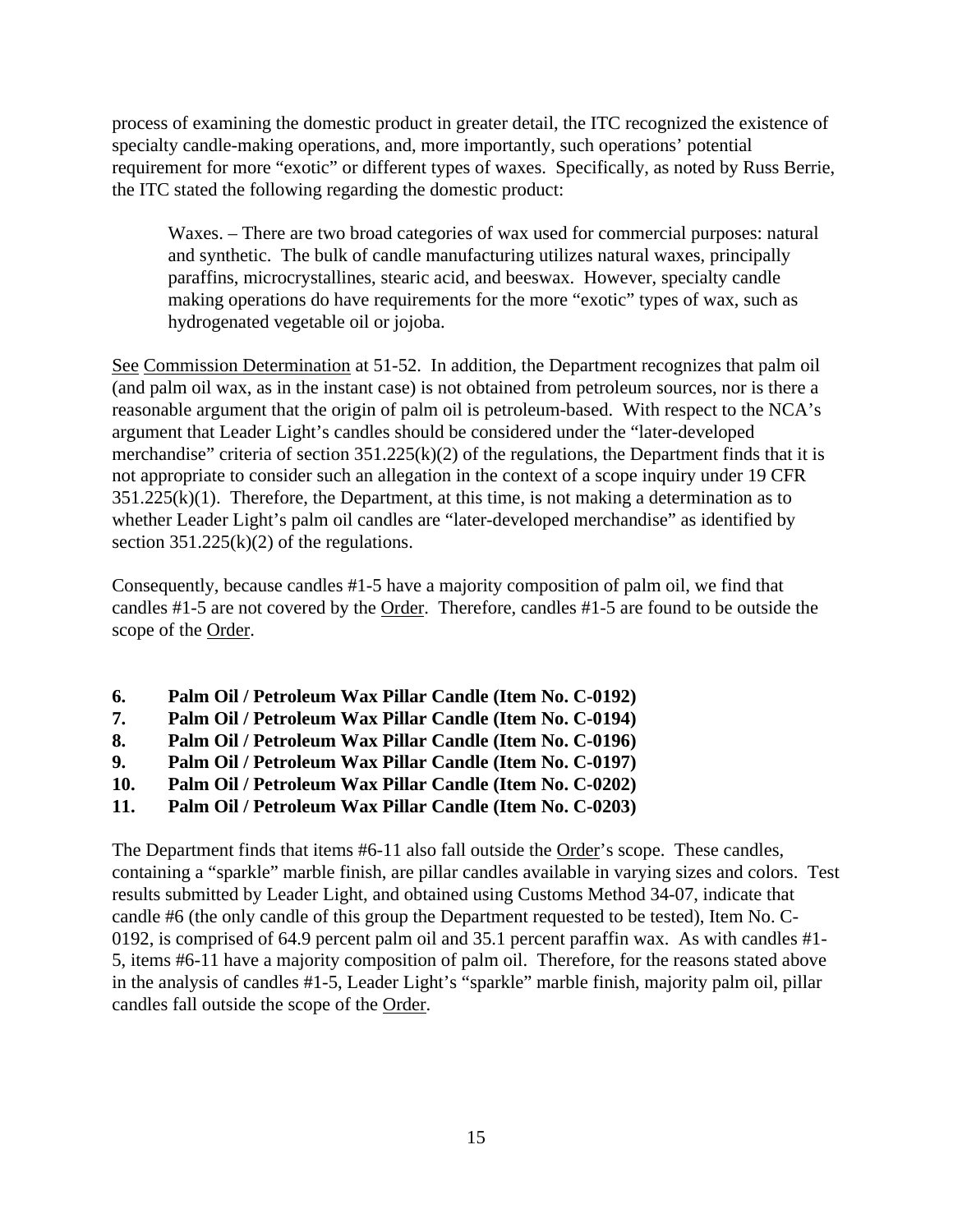process of examining the domestic product in greater detail, the ITC recognized the existence of specialty candle-making operations, and, more importantly, such operations' potential requirement for more "exotic" or different types of waxes. Specifically, as noted by Russ Berrie, the ITC stated the following regarding the domestic product:

Waxes. – There are two broad categories of wax used for commercial purposes: natural and synthetic. The bulk of candle manufacturing utilizes natural waxes, principally paraffins, microcrystallines, stearic acid, and beeswax. However, specialty candle making operations do have requirements for the more "exotic" types of wax, such as hydrogenated vegetable oil or jojoba.

See Commission Determination at 51-52. In addition, the Department recognizes that palm oil (and palm oil wax, as in the instant case) is not obtained from petroleum sources, nor is there a reasonable argument that the origin of palm oil is petroleum-based. With respect to the NCA's argument that Leader Light's candles should be considered under the "later-developed merchandise" criteria of section  $351.225(k)(2)$  of the regulations, the Department finds that it is not appropriate to consider such an allegation in the context of a scope inquiry under 19 CFR  $351.225(k)(1)$ . Therefore, the Department, at this time, is not making a determination as to whether Leader Light's palm oil candles are "later-developed merchandise" as identified by section  $351.225(k)(2)$  of the regulations.

Consequently, because candles #1-5 have a majority composition of palm oil, we find that candles #1-5 are not covered by the Order. Therefore, candles #1-5 are found to be outside the scope of the Order.

- **6. Palm Oil / Petroleum Wax Pillar Candle (Item No. C-0192)**
- **7. Palm Oil / Petroleum Wax Pillar Candle (Item No. C-0194)**
- **8. Palm Oil / Petroleum Wax Pillar Candle (Item No. C-0196)**
- **9. Palm Oil / Petroleum Wax Pillar Candle (Item No. C-0197)**
- **10. Palm Oil / Petroleum Wax Pillar Candle (Item No. C-0202)**
- **11. Palm Oil / Petroleum Wax Pillar Candle (Item No. C-0203)**

The Department finds that items #6-11 also fall outside the Order's scope. These candles, containing a "sparkle" marble finish, are pillar candles available in varying sizes and colors. Test results submitted by Leader Light, and obtained using Customs Method 34-07, indicate that candle #6 (the only candle of this group the Department requested to be tested), Item No. C-0192, is comprised of 64.9 percent palm oil and 35.1 percent paraffin wax. As with candles #1- 5, items #6-11 have a majority composition of palm oil. Therefore, for the reasons stated above in the analysis of candles #1-5, Leader Light's "sparkle" marble finish, majority palm oil, pillar candles fall outside the scope of the Order.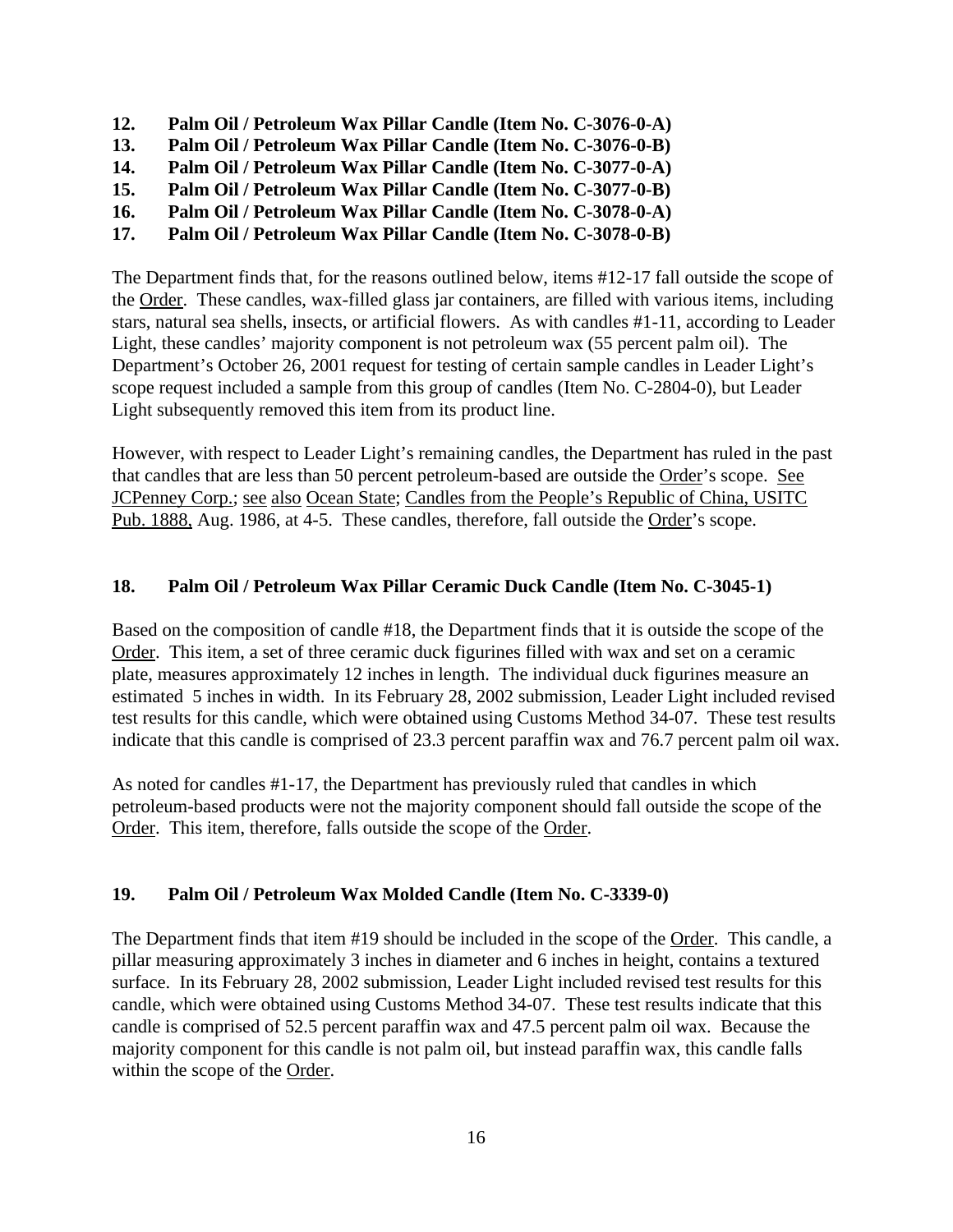- **12. Palm Oil / Petroleum Wax Pillar Candle (Item No. C-3076-0-A)**
- **13. Palm Oil / Petroleum Wax Pillar Candle (Item No. C-3076-0-B)**
- **14. Palm Oil / Petroleum Wax Pillar Candle (Item No. C-3077-0-A)**
- **15. Palm Oil / Petroleum Wax Pillar Candle (Item No. C-3077-0-B)**
- **16. Palm Oil / Petroleum Wax Pillar Candle (Item No. C-3078-0-A)**
- **17. Palm Oil / Petroleum Wax Pillar Candle (Item No. C-3078-0-B)**

The Department finds that, for the reasons outlined below, items #12-17 fall outside the scope of the Order. These candles, wax-filled glass jar containers, are filled with various items, including stars, natural sea shells, insects, or artificial flowers. As with candles #1-11, according to Leader Light, these candles' majority component is not petroleum wax (55 percent palm oil). The Department's October 26, 2001 request for testing of certain sample candles in Leader Light's scope request included a sample from this group of candles (Item No. C-2804-0), but Leader Light subsequently removed this item from its product line.

However, with respect to Leader Light's remaining candles, the Department has ruled in the past that candles that are less than 50 percent petroleum-based are outside the Order's scope. See JCPenney Corp.; see also Ocean State; Candles from the People's Republic of China, USITC Pub. 1888, Aug. 1986, at 4-5. These candles, therefore, fall outside the Order's scope.

# **18. Palm Oil / Petroleum Wax Pillar Ceramic Duck Candle (Item No. C-3045-1)**

Based on the composition of candle #18, the Department finds that it is outside the scope of the Order. This item, a set of three ceramic duck figurines filled with wax and set on a ceramic plate, measures approximately 12 inches in length. The individual duck figurines measure an estimated 5 inches in width. In its February 28, 2002 submission, Leader Light included revised test results for this candle, which were obtained using Customs Method 34-07. These test results indicate that this candle is comprised of 23.3 percent paraffin wax and 76.7 percent palm oil wax.

As noted for candles #1-17, the Department has previously ruled that candles in which petroleum-based products were not the majority component should fall outside the scope of the Order. This item, therefore, falls outside the scope of the Order.

## **19. Palm Oil / Petroleum Wax Molded Candle (Item No. C-3339-0)**

The Department finds that item #19 should be included in the scope of the Order. This candle, a pillar measuring approximately 3 inches in diameter and 6 inches in height, contains a textured surface. In its February 28, 2002 submission, Leader Light included revised test results for this candle, which were obtained using Customs Method 34-07. These test results indicate that this candle is comprised of 52.5 percent paraffin wax and 47.5 percent palm oil wax. Because the majority component for this candle is not palm oil, but instead paraffin wax, this candle falls within the scope of the Order.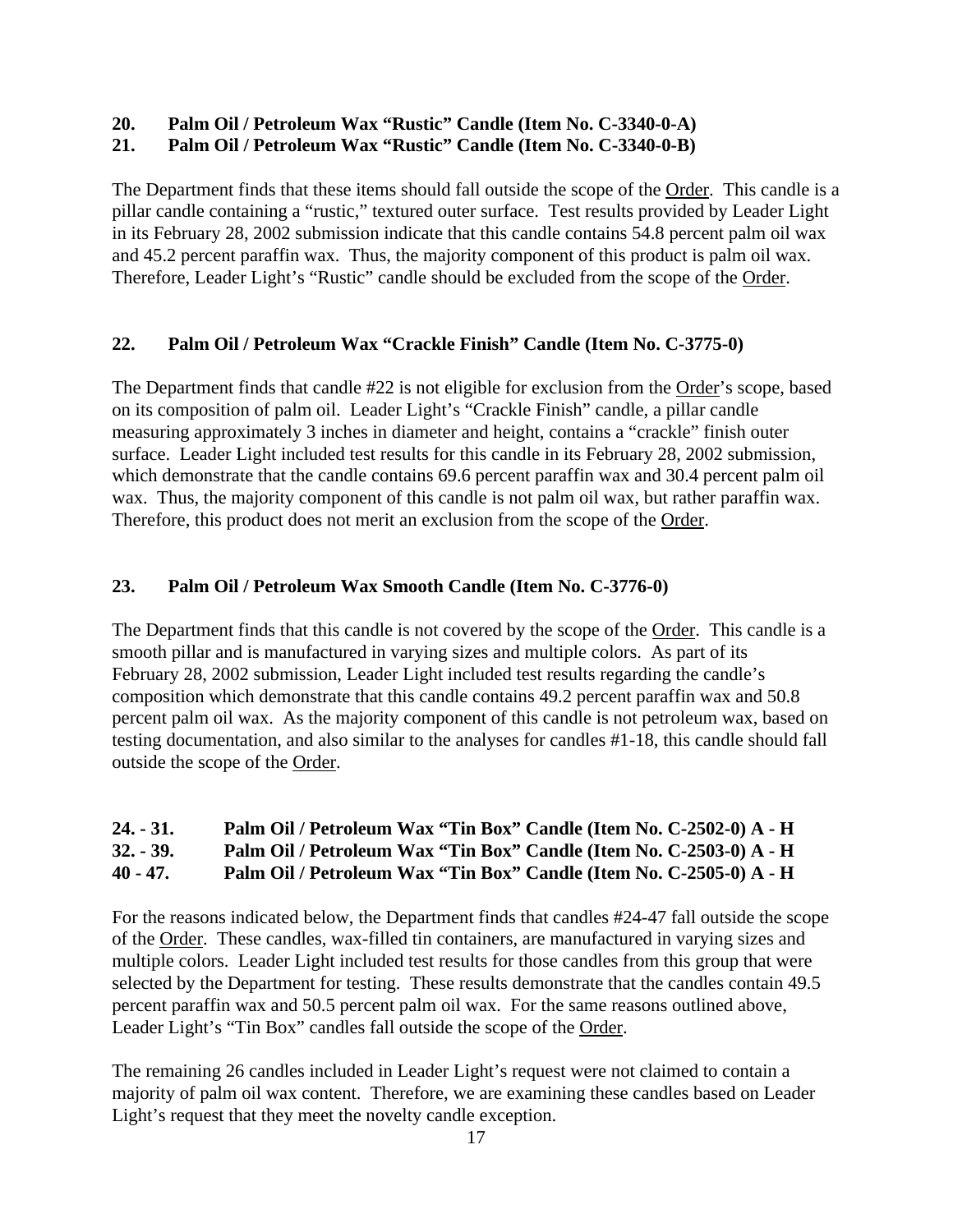# **20. Palm Oil / Petroleum Wax "Rustic" Candle (Item No. C-3340-0-A)**

# **21. Palm Oil / Petroleum Wax "Rustic" Candle (Item No. C-3340-0-B)**

The Department finds that these items should fall outside the scope of the Order. This candle is a pillar candle containing a "rustic," textured outer surface. Test results provided by Leader Light in its February 28, 2002 submission indicate that this candle contains 54.8 percent palm oil wax and 45.2 percent paraffin wax. Thus, the majority component of this product is palm oil wax. Therefore, Leader Light's "Rustic" candle should be excluded from the scope of the Order.

## **22. Palm Oil / Petroleum Wax "Crackle Finish" Candle (Item No. C-3775-0)**

The Department finds that candle #22 is not eligible for exclusion from the Order's scope, based on its composition of palm oil. Leader Light's "Crackle Finish" candle, a pillar candle measuring approximately 3 inches in diameter and height, contains a "crackle" finish outer surface. Leader Light included test results for this candle in its February 28, 2002 submission, which demonstrate that the candle contains 69.6 percent paraffin wax and 30.4 percent palm oil wax. Thus, the majority component of this candle is not palm oil wax, but rather paraffin wax. Therefore, this product does not merit an exclusion from the scope of the Order.

# **23. Palm Oil / Petroleum Wax Smooth Candle (Item No. C-3776-0)**

The Department finds that this candle is not covered by the scope of the Order. This candle is a smooth pillar and is manufactured in varying sizes and multiple colors. As part of its February 28, 2002 submission, Leader Light included test results regarding the candle's composition which demonstrate that this candle contains 49.2 percent paraffin wax and 50.8 percent palm oil wax. As the majority component of this candle is not petroleum wax, based on testing documentation, and also similar to the analyses for candles #1-18, this candle should fall outside the scope of the Order.

- **24. 31. Palm Oil / Petroleum Wax "Tin Box" Candle (Item No. C-2502-0) A H**
- **32. 39. Palm Oil / Petroleum Wax "Tin Box" Candle (Item No. C-2503-0) A H**
- **40 47. Palm Oil / Petroleum Wax "Tin Box" Candle (Item No. C-2505-0) A H**

For the reasons indicated below, the Department finds that candles #24-47 fall outside the scope of the Order. These candles, wax-filled tin containers, are manufactured in varying sizes and multiple colors. Leader Light included test results for those candles from this group that were selected by the Department for testing. These results demonstrate that the candles contain 49.5 percent paraffin wax and 50.5 percent palm oil wax. For the same reasons outlined above, Leader Light's "Tin Box" candles fall outside the scope of the Order.

The remaining 26 candles included in Leader Light's request were not claimed to contain a majority of palm oil wax content. Therefore, we are examining these candles based on Leader Light's request that they meet the novelty candle exception.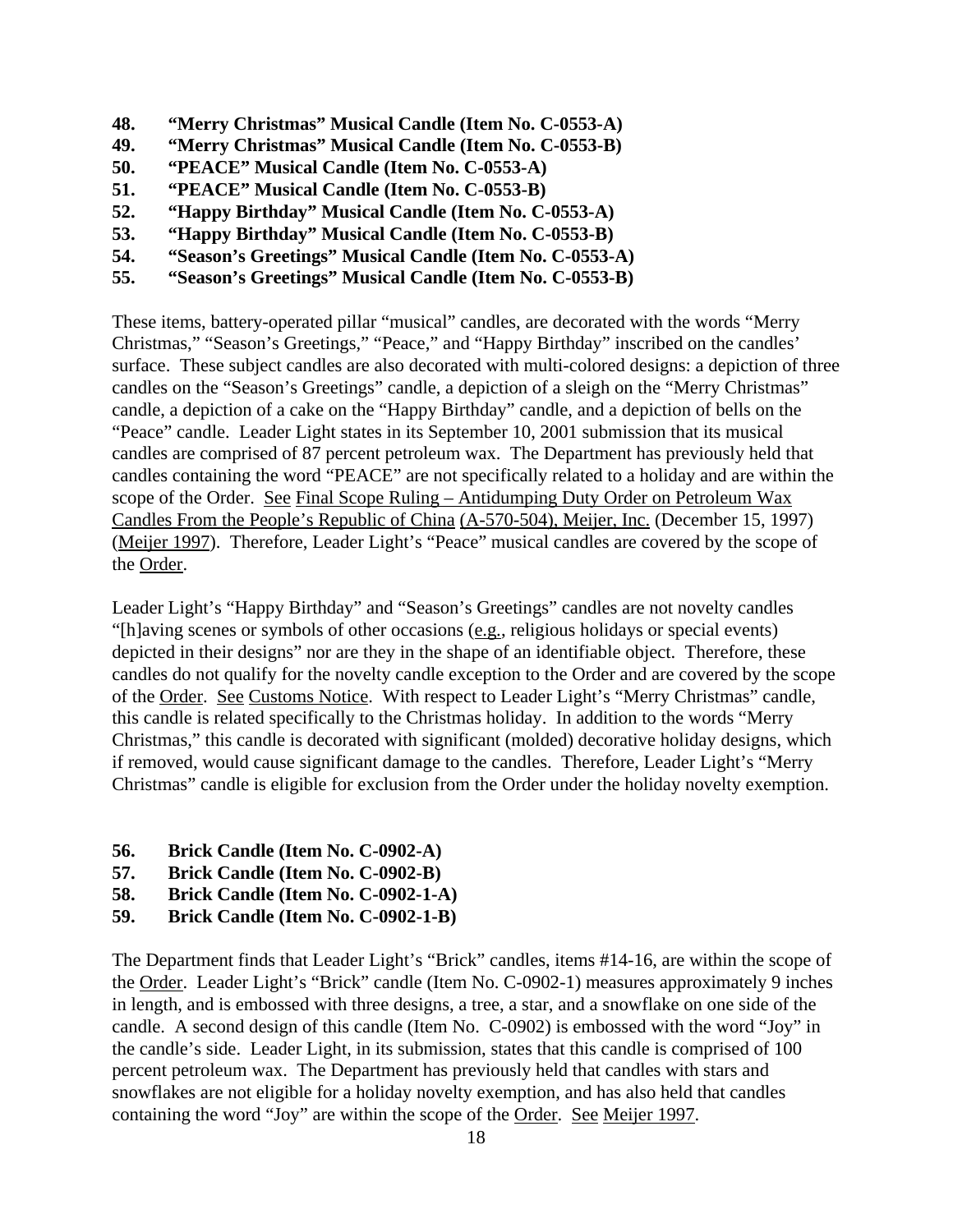- **48. "Merry Christmas" Musical Candle (Item No. C-0553-A)**
- **49. "Merry Christmas" Musical Candle (Item No. C-0553-B)**
- **50. "PEACE" Musical Candle (Item No. C-0553-A)**
- **51. "PEACE" Musical Candle (Item No. C-0553-B)**
- **52. "Happy Birthday" Musical Candle (Item No. C-0553-A)**
- **53. "Happy Birthday" Musical Candle (Item No. C-0553-B)**
- **54. "Season's Greetings" Musical Candle (Item No. C-0553-A)**
- **55. "Season's Greetings" Musical Candle (Item No. C-0553-B)**

These items, battery-operated pillar "musical" candles, are decorated with the words "Merry Christmas," "Season's Greetings," "Peace," and "Happy Birthday" inscribed on the candles' surface. These subject candles are also decorated with multi-colored designs: a depiction of three candles on the "Season's Greetings" candle, a depiction of a sleigh on the "Merry Christmas" candle, a depiction of a cake on the "Happy Birthday" candle, and a depiction of bells on the "Peace" candle. Leader Light states in its September 10, 2001 submission that its musical candles are comprised of 87 percent petroleum wax. The Department has previously held that candles containing the word "PEACE" are not specifically related to a holiday and are within the scope of the Order. See Final Scope Ruling – Antidumping Duty Order on Petroleum Wax Candles From the People's Republic of China (A-570-504), Meijer, Inc. (December 15, 1997) (Meijer 1997). Therefore, Leader Light's "Peace" musical candles are covered by the scope of the Order.

Leader Light's "Happy Birthday" and "Season's Greetings" candles are not novelty candles "[h]aving scenes or symbols of other occasions (e.g., religious holidays or special events) depicted in their designs" nor are they in the shape of an identifiable object. Therefore, these candles do not qualify for the novelty candle exception to the Order and are covered by the scope of the Order. See Customs Notice. With respect to Leader Light's "Merry Christmas" candle, this candle is related specifically to the Christmas holiday. In addition to the words "Merry Christmas," this candle is decorated with significant (molded) decorative holiday designs, which if removed, would cause significant damage to the candles. Therefore, Leader Light's "Merry Christmas" candle is eligible for exclusion from the Order under the holiday novelty exemption.

- **56. Brick Candle (Item No. C-0902-A)**
- **57. Brick Candle (Item No. C-0902-B)**
- **58. Brick Candle (Item No. C-0902-1-A)**
- **59. Brick Candle (Item No. C-0902-1-B)**

The Department finds that Leader Light's "Brick" candles, items #14-16, are within the scope of the Order. Leader Light's "Brick" candle (Item No. C-0902-1) measures approximately 9 inches in length, and is embossed with three designs, a tree, a star, and a snowflake on one side of the candle. A second design of this candle (Item No. C-0902) is embossed with the word "Joy" in the candle's side. Leader Light, in its submission, states that this candle is comprised of 100 percent petroleum wax. The Department has previously held that candles with stars and snowflakes are not eligible for a holiday novelty exemption, and has also held that candles containing the word "Joy" are within the scope of the Order. See Meijer 1997.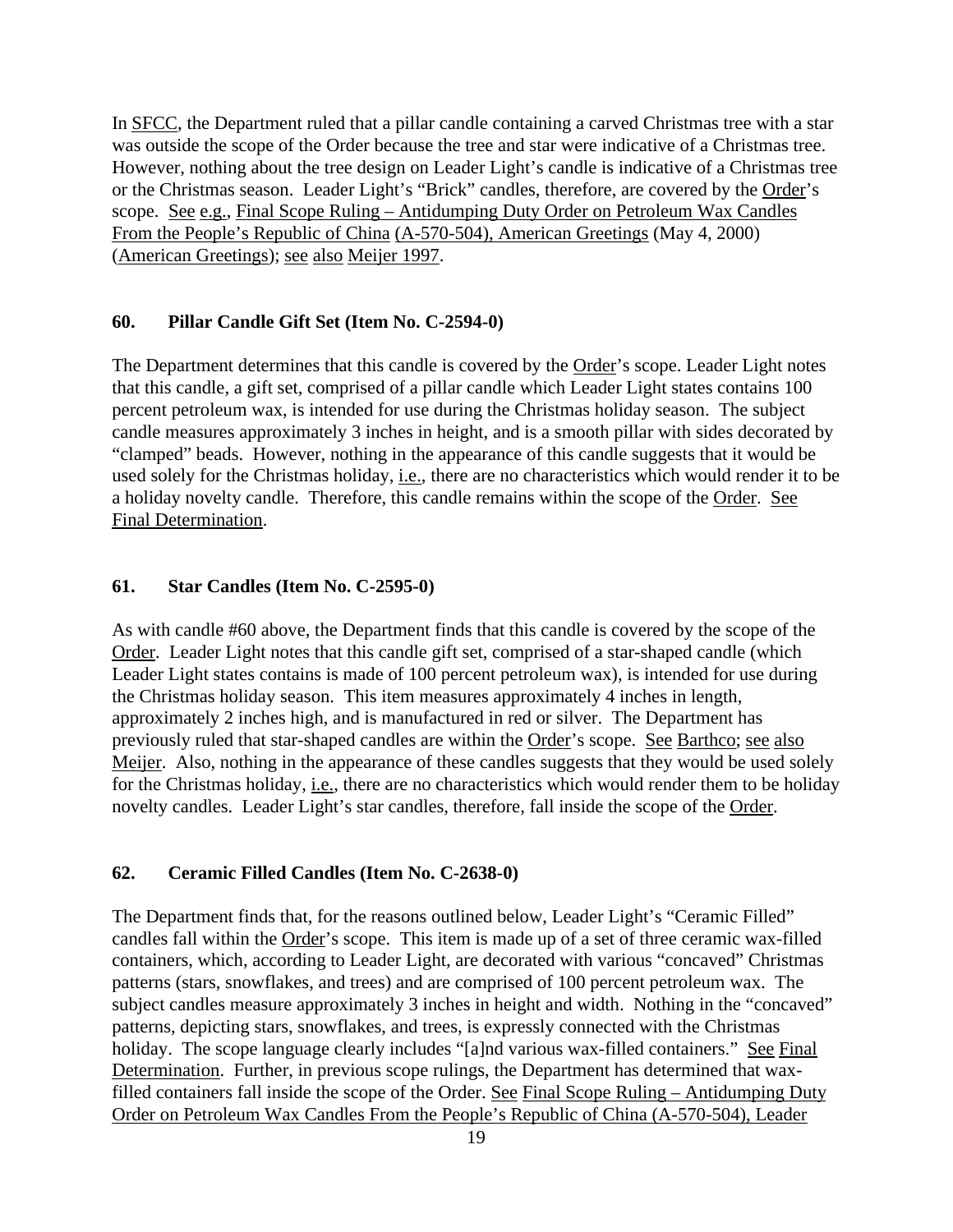In SFCC, the Department ruled that a pillar candle containing a carved Christmas tree with a star was outside the scope of the Order because the tree and star were indicative of a Christmas tree. However, nothing about the tree design on Leader Light's candle is indicative of a Christmas tree or the Christmas season. Leader Light's "Brick" candles, therefore, are covered by the Order's scope. See e.g., Final Scope Ruling – Antidumping Duty Order on Petroleum Wax Candles From the People's Republic of China (A-570-504), American Greetings (May 4, 2000) (American Greetings); see also Meijer 1997.

#### **60. Pillar Candle Gift Set (Item No. C-2594-0)**

The Department determines that this candle is covered by the Order's scope. Leader Light notes that this candle, a gift set, comprised of a pillar candle which Leader Light states contains 100 percent petroleum wax, is intended for use during the Christmas holiday season. The subject candle measures approximately 3 inches in height, and is a smooth pillar with sides decorated by "clamped" beads. However, nothing in the appearance of this candle suggests that it would be used solely for the Christmas holiday, i.e., there are no characteristics which would render it to be a holiday novelty candle. Therefore, this candle remains within the scope of the Order. See Final Determination.

### **61. Star Candles (Item No. C-2595-0)**

As with candle #60 above, the Department finds that this candle is covered by the scope of the Order. Leader Light notes that this candle gift set, comprised of a star-shaped candle (which Leader Light states contains is made of 100 percent petroleum wax), is intended for use during the Christmas holiday season. This item measures approximately 4 inches in length, approximately 2 inches high, and is manufactured in red or silver. The Department has previously ruled that star-shaped candles are within the Order's scope. See Barthco; see also Meijer. Also, nothing in the appearance of these candles suggests that they would be used solely for the Christmas holiday, i.e., there are no characteristics which would render them to be holiday novelty candles. Leader Light's star candles, therefore, fall inside the scope of the Order.

### **62. Ceramic Filled Candles (Item No. C-2638-0)**

The Department finds that, for the reasons outlined below, Leader Light's "Ceramic Filled" candles fall within the Order's scope. This item is made up of a set of three ceramic wax-filled containers, which, according to Leader Light, are decorated with various "concaved" Christmas patterns (stars, snowflakes, and trees) and are comprised of 100 percent petroleum wax. The subject candles measure approximately 3 inches in height and width. Nothing in the "concaved" patterns, depicting stars, snowflakes, and trees, is expressly connected with the Christmas holiday. The scope language clearly includes "[a]nd various wax-filled containers." See Final Determination. Further, in previous scope rulings, the Department has determined that waxfilled containers fall inside the scope of the Order. See Final Scope Ruling – Antidumping Duty Order on Petroleum Wax Candles From the People's Republic of China (A-570-504), Leader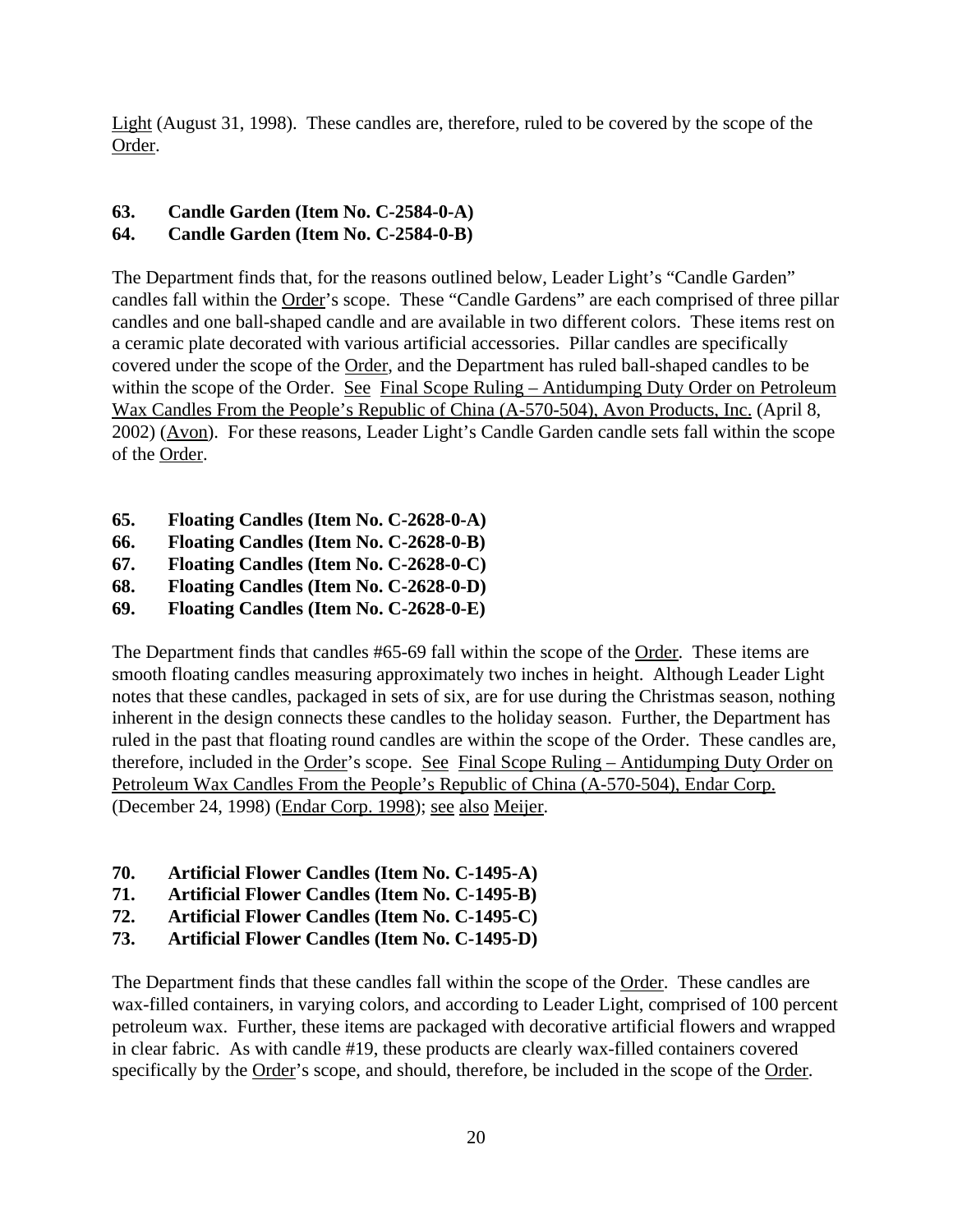Light (August 31, 1998). These candles are, therefore, ruled to be covered by the scope of the Order.

# **63. Candle Garden (Item No. C-2584-0-A)**

# **64. Candle Garden (Item No. C-2584-0-B)**

The Department finds that, for the reasons outlined below, Leader Light's "Candle Garden" candles fall within the Order's scope. These "Candle Gardens" are each comprised of three pillar candles and one ball-shaped candle and are available in two different colors. These items rest on a ceramic plate decorated with various artificial accessories. Pillar candles are specifically covered under the scope of the Order, and the Department has ruled ball-shaped candles to be within the scope of the Order. See Final Scope Ruling – Antidumping Duty Order on Petroleum Wax Candles From the People's Republic of China (A-570-504), Avon Products, Inc. (April 8, 2002) (Avon). For these reasons, Leader Light's Candle Garden candle sets fall within the scope of the Order.

- **65. Floating Candles (Item No. C-2628-0-A)**
- **66. Floating Candles (Item No. C-2628-0-B)**
- **67. Floating Candles (Item No. C-2628-0-C)**
- **68. Floating Candles (Item No. C-2628-0-D)**
- **69. Floating Candles (Item No. C-2628-0-E)**

The Department finds that candles #65-69 fall within the scope of the Order. These items are smooth floating candles measuring approximately two inches in height. Although Leader Light notes that these candles, packaged in sets of six, are for use during the Christmas season, nothing inherent in the design connects these candles to the holiday season. Further, the Department has ruled in the past that floating round candles are within the scope of the Order. These candles are, therefore, included in the Order's scope. See Final Scope Ruling – Antidumping Duty Order on Petroleum Wax Candles From the People's Republic of China (A-570-504), Endar Corp. (December 24, 1998) (Endar Corp. 1998); see also Meijer.

- **70. Artificial Flower Candles (Item No. C-1495-A)**
- **71. Artificial Flower Candles (Item No. C-1495-B)**
- **72. Artificial Flower Candles (Item No. C-1495-C)**
- **73. Artificial Flower Candles (Item No. C-1495-D)**

The Department finds that these candles fall within the scope of the Order. These candles are wax-filled containers, in varying colors, and according to Leader Light, comprised of 100 percent petroleum wax. Further, these items are packaged with decorative artificial flowers and wrapped in clear fabric. As with candle #19, these products are clearly wax-filled containers covered specifically by the Order's scope, and should, therefore, be included in the scope of the Order.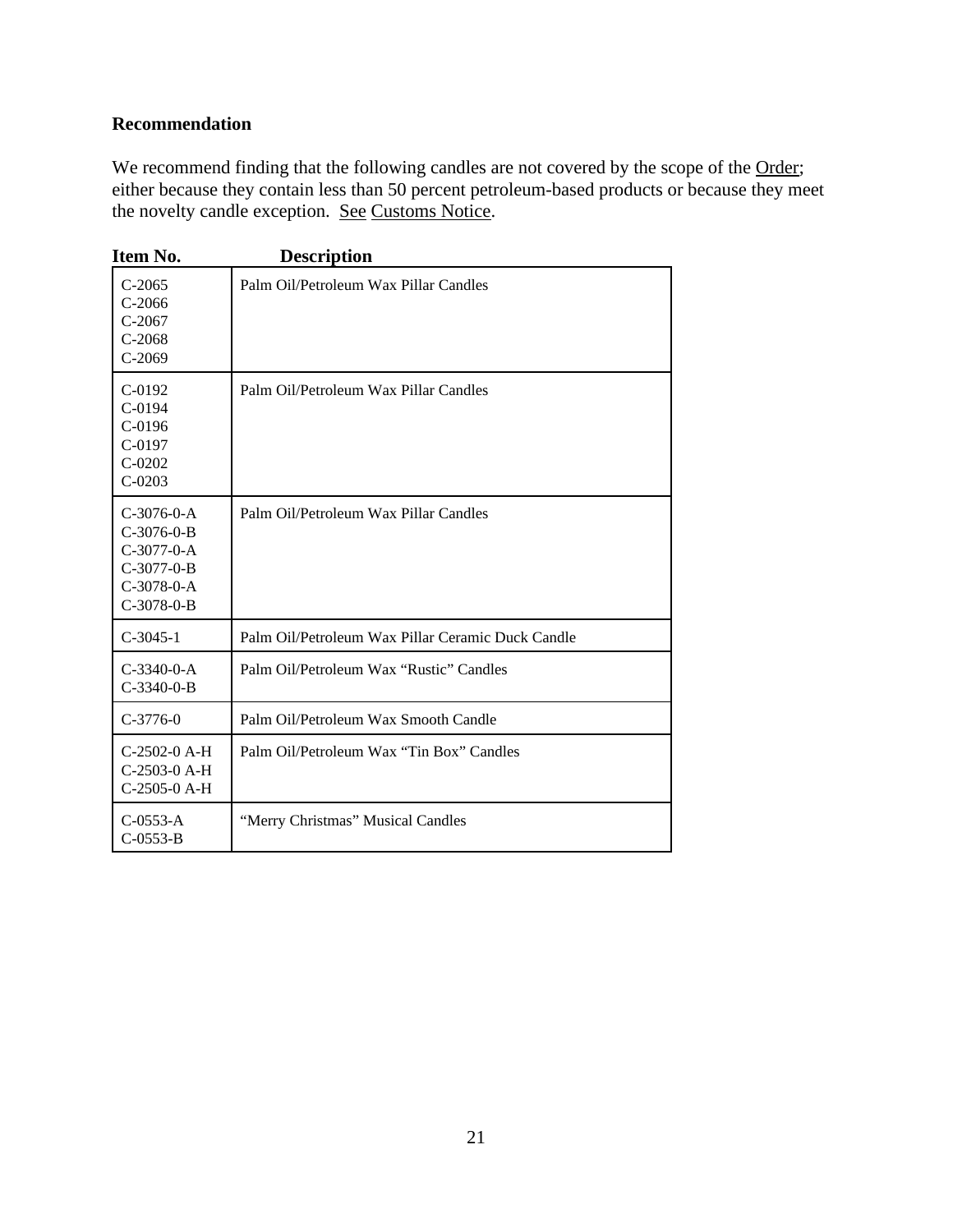# **Recommendation**

We recommend finding that the following candles are not covered by the scope of the Order; either because they contain less than 50 percent petroleum-based products or because they meet the novelty candle exception. See Customs Notice.

| Item No.                                                                                     | <b>Description</b>                                |
|----------------------------------------------------------------------------------------------|---------------------------------------------------|
| $C-2065$<br>$C-2066$<br>$C-2067$<br>$C-2068$<br>$C-2069$                                     | Palm Oil/Petroleum Wax Pillar Candles             |
| $C-0192$<br>$C-0194$<br>$C-0196$<br>$C-0197$<br>$C-0202$<br>$C-0203$                         | Palm Oil/Petroleum Wax Pillar Candles             |
| $C-3076-0-A$<br>$C-3076-0-B$<br>$C-3077-0-A$<br>$C-3077-0-B$<br>$C-3078-0-A$<br>$C-3078-0-B$ | Palm Oil/Petroleum Wax Pillar Candles             |
| $C-3045-1$                                                                                   | Palm Oil/Petroleum Wax Pillar Ceramic Duck Candle |
| $C-3340-0-A$<br>$C-3340-0-B$                                                                 | Palm Oil/Petroleum Wax "Rustic" Candles           |
| $C-3776-0$                                                                                   | Palm Oil/Petroleum Wax Smooth Candle              |
| $C-2502-0$ A-H<br>C-2503-0 A-H<br>C-2505-0 A-H                                               | Palm Oil/Petroleum Wax "Tin Box" Candles          |
| $C-0553-A$<br>$C-0553-B$                                                                     | "Merry Christmas" Musical Candles                 |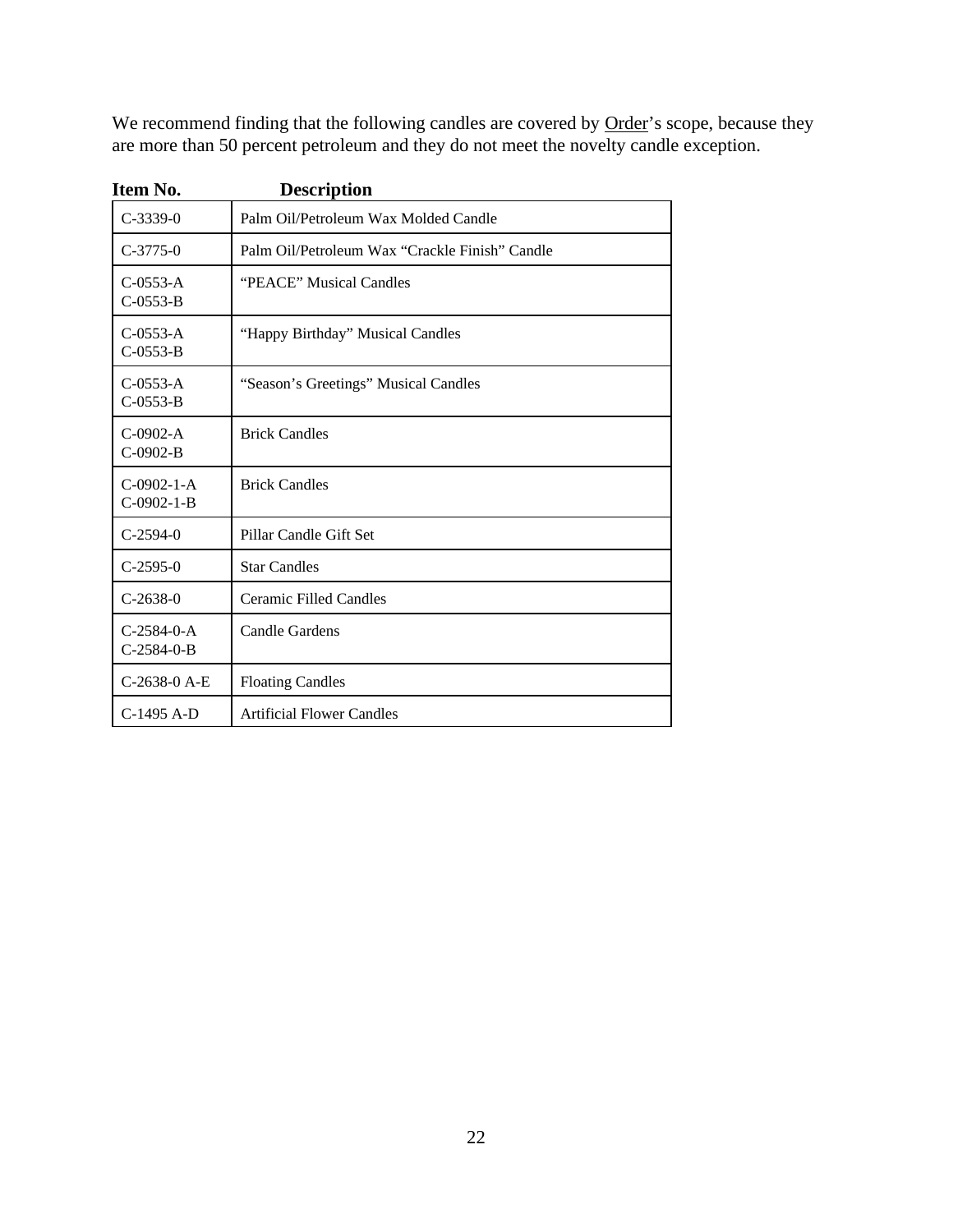We recommend finding that the following candles are covered by Order's scope, because they are more than 50 percent petroleum and they do not meet the novelty candle exception.

| Item No.                     | <b>Description</b>                             |
|------------------------------|------------------------------------------------|
| $C-3339-0$                   | Palm Oil/Petroleum Wax Molded Candle           |
| $C-3775-0$                   | Palm Oil/Petroleum Wax "Crackle Finish" Candle |
| $C-0553-A$<br>$C-0553-B$     | "PEACE" Musical Candles                        |
| $C-0553-A$<br>$C-0553-B$     | "Happy Birthday" Musical Candles               |
| $C-0.553-A$<br>$C-0553-B$    | "Season's Greetings" Musical Candles           |
| $C-0902-A$<br>$C-0902-B$     | <b>Brick Candles</b>                           |
| $C-0902-1-A$<br>$C-0902-1-B$ | <b>Brick Candles</b>                           |
| $C-2594-0$                   | Pillar Candle Gift Set                         |
| $C-2595-0$                   | <b>Star Candles</b>                            |
| $C-2638-0$                   | <b>Ceramic Filled Candles</b>                  |
| $C-2584-0-A$<br>$C-2584-0-B$ | <b>Candle Gardens</b>                          |
| $C-2638-0$ A-E               | <b>Floating Candles</b>                        |
| C-1495 A-D                   | <b>Artificial Flower Candles</b>               |